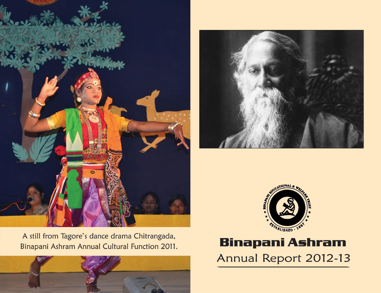





# **Binapani Ashram**

Annual Report 2012-13

A still from Tagore's dance drama Chitrangada, Binapani Ashram Annual Cultural Function 2011.

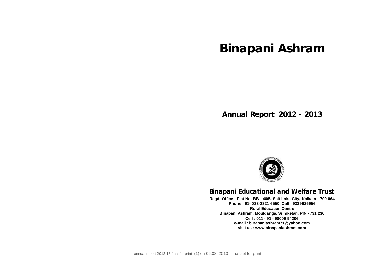# **Binapani Ashram**

**Annual Report 2012 - 2013**



# **Binapani Educational and Welfare Trust**

**Regd. Office : Flat No. BB - 46/5, Salt Lake City, Kolkata - 700 064 Phone : 91- 033-2321 6550, Cell : 9339926956 Rural Education Centre Binapani Ashram, Mouldanga, Sriniketan, PIN - 731 236 Cell : 011 - 91 - 98009 94206 e-mail : binapaniashram71@yahoo.com visit us : www.binapaniashram.com**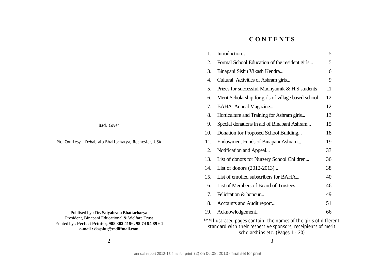# **CONTENTS**

| 1.  | Introduction                                        | 5  |
|-----|-----------------------------------------------------|----|
| 2.  | Formal School Education of the resident girls       | 5  |
| 3.  | Binapani Sishu Vikash Kendra                        | 6  |
| 4.  | Cultural Activities of Ashram girls                 | 9  |
| 5.  | Prizes for successful Madhyamik & H.S students      | 11 |
| 6.  | Merit Scholarship for girls of village based school | 12 |
| 7.  | <b>BAHA</b> Annual Magazine                         | 12 |
| 8.  | Horticulture and Training for Ashram girls          | 13 |
| 9.  | Special donations in aid of Binapani Ashram         | 15 |
| 10. | Donation for Proposed School Building               | 18 |
| 11. | Endowment Funds of Binapani Ashram                  | 19 |
| 12. | Notification and Appeal                             | 33 |
| 13. | List of donors for Nursery School Children          | 36 |
| 14. | List of donors (2012-2013)                          | 38 |
| 15. | List of enrolled subscribers for BAHA               | 40 |
| 16. | List of Members of Board of Trustees                | 46 |
| 17. | Felicitation & honour                               | 49 |
| 18. | Accounts and Audit report                           | 51 |
| 19. | Acknowledgement                                     | 66 |
|     |                                                     |    |

\*\*\*Illustrated pages contain, the names of the girls of different standard with their respective sponsors, receipients of merit scholarships etc. (Pages 1 - 20)

Back Cover

Pic. Courtesy - Debabrata Bhattacharya, Rochester, USA

Publised by : **Dr. Satyabrata Bhattacharya** President, Binapani Educational & Welfare Trust Printed by : **Perfect Printer, 988 302 4196, 98 74 94 89 64 e-mail : daspitu@rediffmail.com**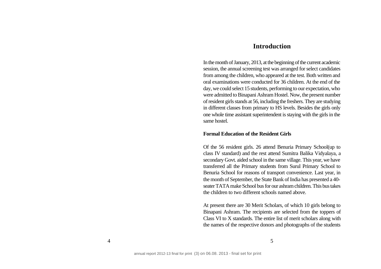# **Introduction**

In the month of January, 2013, at the beginning of the current academic session, the annual screening test was arranged for select candidates from among the children, who appeared at the test. Both written and oral examinations were conducted for 36 children. At the end of the day, we could select 15 students, performing to our expectation, who were admitted to Binapani Ashram Hostel. Now, the present number of resident girls stands at 56, including the freshers. They are studying in different classes from primary to HS levels. Besides the girls only one whole time assistant superintendent is staying with the girls in the same hostel.

#### **Formal Education of the Resident Girls**

Of the 56 resident girls. 26 attend Benuria Primary School(up to class IV standard) and the rest attend Sumitra Balika Vidyalaya, a secondary Govt. aided school in the same village. This year, we have transferred all the Primary students from Surul Primary School to Benuria School for reasons of transport convenience. Last year, in the month of September, the State Bank of India has presented a 40 seater TATA make School bus for our ashram children. This bus takes the children to two different schools named above.

At present there are 30 Merit Scholars, of which 10 girls belong to Binapani Ashram. The recipients are selected from the toppers of Class VI to X standards. The entire list of merit scholars along with the names of the respective donors and photographs of the students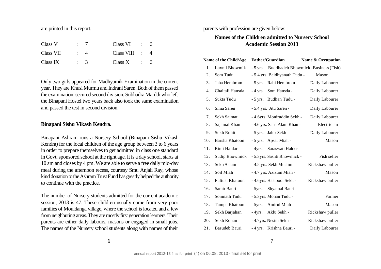are printed in this report.

| Class V   |    | Class VI         |  |
|-----------|----|------------------|--|
| Class VII |    | Class VIII $: 4$ |  |
| Class IX  | -3 | Class X          |  |

Only two girls appeared for Madhyamik Examination in the current year. They are Khusi Murmu and Indrani Saren. Both of them passed the examination, secured second division. Subhadra Marddi who left the Binapani Hostel two years back also took the same examination and passed the test in second division.

#### **Binapani Sishu Vikash Kendra.**

Binapani Ashram runs a Nursery School (Binapani Sishu Vikash Kendra) for the local children of the age group between 3 to 6 years in order to prepare themselves to get admitted in class one standard in Govt. sponsored school at the right age. It is a day school, starts at 10 am and closes by 4 pm. We are able to serve a free daily mid-day meal during the afternoon recess, courtesy Smt. Anjali Ray, whose kind donation to the Ashram Trust Fund has greatly helped the authority to continue with the practice.

The number of Nursery students admitted for the current academic session, 2013 is 47. These children usually come from very poor families of Mouldanga village, where the school is located and a few from neighburing areas. They are mostly first generation learners. Their parents are either daily labours, masons or engaged in small jobs. The names of the Nursery school students along with names of their parents with profession are given below:

# **Names of the Children admitted to Nursery School Academic Session 2013**

|     | Name of the Child/Age | <b>Father/Guardian</b>        | Name & Occupation                   |
|-----|-----------------------|-------------------------------|-------------------------------------|
| 1.  | Luxmi Bhowmik         | $-5$ yrs.                     | Buddhadeb Bhowmick -Business (Fish) |
| 2.  | Som Tudu              | - 5.4 yrs. Baidhyanath Tudu - | Mason                               |
| 3.  | Jaba Hembrom          | - 5 yrs. Rabi Hembrom -       | Daily Labourer                      |
| 4.  | Chaitali Hansda       | - 4 yrs. Som Hansda -         | Daily Labourer                      |
| 5.  | Sukta Tudu            | - 5 yrs. Budhan Tudu -        | Daily Labourer                      |
| 6.  | Sima Saren            | - 5.4 yrs. Jitu Saren -       | Daily Labourer                      |
| 7.  | Sekh Sajmat           | - 4.6yrs. Moniruddin Sekh -   | Daily Labourer                      |
| 8.  | Sajamal Khan          | - 4.6 yrs. Saha Alam Khan -   | Electrician                         |
| 9.  | Sekh Rohit            | - 5 yrs. Jahir Sekh -         | Daily Labourer                      |
| 10. | Barsha Khatoon        | - 5 yrs. Apsar Miah -         | Mason                               |
| 11. | Rimi Haldar           | - 4yrs. Saraswati Halder -    |                                     |
| 12. | <b>Sudip Bhowmick</b> | - 5.3yrs. Sashti Bhowmick -   | Fish seller                         |
| 13. | Sekh Aslam            | - 4.5 yrs. Sekh Muslim -      | Rickshaw puller                     |
| 14. | Soil Miah             | - 4.7 yrs. Azizum Miah -      | Mason                               |
| 15. | Fultusi Khatoon       | - 4.6yrs. Hasibool Sekh -     | Rickshaw puller                     |
| 16. | Samir Bauri           | - 5yrs. Shyamal Bauri -       |                                     |
| 17. | Somnath Tudu          | - 5.3yrs. Mohan Tudu -        | Farmer                              |
| 18. | Tumpa Khatoon         | - 5yrs. Amirul Miah -         | Mason                               |
| 19. | Sekh Barjahan         | - 4yrs. Aklu Sekh -           | Rickshaw puller                     |
| 20. | Sekh Rohan            | - 4.7yrs. Nesim Sekh -        | Rickshaw puller                     |
| 21. | Basudeb Bauri         | - 4 yrs. Krishna Bauri -      | Daily Labourer                      |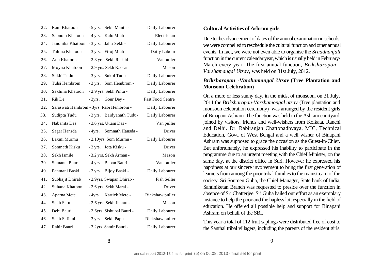| 22. | Rani Khatoon                             | $-5$ yrs. | Sekh Mantu -               | Daily Labourer          |
|-----|------------------------------------------|-----------|----------------------------|-------------------------|
| 23. | Sabnom Khatoon                           |           | - 4 yrs. Kalo Miah -       | Electrician             |
| 24. | Janonika Khatoon                         | $-3$ yrs. | Jahir Sekh -               | Daily Labourer          |
| 25. | Tuhina Khatoon                           |           | - 3 yrs. Firoj Miah -      | Daily Labour            |
| 26. | Anu Khatoon                              |           | - 2.8 yrs. Sekh Rashid -   | Vanpuller               |
| 27. | Moyna Khatoon                            |           | - 2.9 yrs. Sekh Kaosar-    | Mason                   |
| 28. | Sukhi Tudu                               |           | - 3 yrs. Sukol Tudu -      | Daily Labourer          |
| 29. | Tulsi Hembrom                            |           | - 3 yrs. Som Hembrom -     | Daily Labourer          |
| 30. | Sakhina Khatoon                          |           | - 2.9 yrs. Sekh Pintu -    | Daily Labourer          |
| 31. | Rik De                                   | $-3yrs.$  | Gour Dey -                 | <b>Fast Food Centre</b> |
| 32. | Saraswati Hembrom - 3yrs. Rabi Hembrom - |           |                            | Daily Labourer          |
| 33. | Sudipta Tudu                             |           | - 3 yrs. Baidyanath Tudu-  | Daily Labourer          |
| 34. | Nabanita Das                             |           | - 3.6 yrs. Uttam Das -     | Van puller              |
| 35. | Sagar Hansda                             |           | - 4yrs. Somnath Hansda -   | Driver                  |
| 36. | Laxmi Murmu                              |           | - 2.10yrs. Som Murmu -     | Daily Labourer          |
| 37. | Somnath Kisku                            |           | - 3 yrs. Jota Kisku -      | Driver                  |
| 38. | Sekh Ismile                              |           | - 3.2 yrs. Sekh Arman -    | Mason                   |
| 39. | Sumanta Bauri                            |           | - 4 yrs. Baban Bauri -     | Van puller              |
| 40. | Panmani Baski                            |           | - 3 yrs. Bijoy Baski -     | Daily Labourer          |
| 41. | Subhajit Dhirab                          |           | - 2.9yrs. Swapan Dhirab -  | Fish Seller             |
| 42. | Suhana Khatoon                           |           | - 2.6 yrs. Sekh Marai -    | Driver                  |
| 43. | Aparna Mete                              |           | - 4yrs. Kartick Mete -     | Rickshaw puller         |
| 44. | Sekh Setu                                |           | - 2.6 yrs. Sekh Jhantu -   | Mason                   |
| 45. | Debi Bauri                               |           | - 2.6yrs. Sishupal Bauri - | Daily Labourer          |
| 46. | Sekh Safikul                             |           | - 3 yrs. Sekh Papu -       | Rickshaw puller         |
| 47. | Rahir Bauri                              |           | - 3.2yrs. Samir Bauri -    | Daily Labourer          |

#### **Cultural Activities of Ashram girls**

Due to the advancement of dates of the annual examination in schools, we were compelled to reschedule the cultural function and other annual events. In fact, we were not even able to organise the *Sraddhanjali* function in the current calendar year, which is usually held in February/ March every year. The first annual function, *Briksharopon – Varshamangal Utsav,* was held on 31st July, 2012.

#### *Briksharopan -Varshamongal Utsav* **(Tree Plantation and Monsoon Celebration)**

On a more or less sunny day, in the midst of monsoon, on 31 July, 2011 the *Briksharopan-Varshamongal utsav* (Tree plantation and monsoon celebration ceremony) was arranged by the resident girls of Binapani Ashram. The function was held in the Ashram courtyard, joined by visitors, friends and well-wishers from Kolkata, Ranchi and Delhi. Dr. Rabiranjan Chattopadhyaya, MIC, Technical Education**,** Govt. of West Bengal and a well wisher of Binapani Ashram was supposed to grace the occasion as the Guest-in-Chief. But unfortunately, he expressed his inability to participate in the programme due to an urgent meeting with the Chief Minister, on the same day, at the district office in Suri. However he expressed his happiness at our sincere involvement to bring the first generation of learners from among the poor tribal families to the mainstream of the society. Sri Soumen Guha, the Chief Manager, State bank of India, Santiniketan Branch was requested to preside over the function in absence of Sri Chatterjee. Sri Guha hailed our effort as an exemplary instance to help the poor and the hapless lot, especially in the field of education. He offered all possible help and support for Binapani Ashram on behalf of the SBI.

This year a total of 112 fruit saplings were distributed free of cost to the Santhal tribal villagers, including the parents of the resident girls.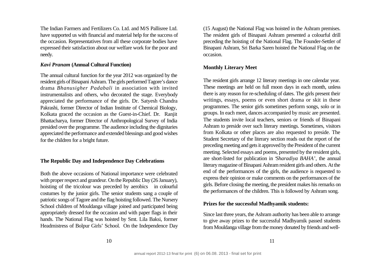The Indian Farmers and Fertilizers Co. Ltd. and M/S Pallisree Ltd. have supported us with financial and material help for the success of the occasion. Representatives from all these corporate bodies have expressed their satisfaction about our welfare work for the poor and needy.

#### *Kavi Pranam* **(Annual Cultural Function)**

The annual cultural function for the year 2012 was organized by the resident girls of Binapani Ashram. The girls performed Tagore's dance drama *Bhanusigher Padabali* in association with invited instrumentalists and others, who decorated the stage. Everybody appreciated the performance of the girls. Dr. Satyesh Chandra Pakrashi, former Director of Indian Institute of Chemical Biology, Kolkata graced the occasion as the Guest-in-Chief. Dr. Ranjit Bhattacharya, former Director of Anthropological Survey of India presided over the programme. The audience including the dignitaries appreciated the performance and extended blessings and good wishes for the children for a bright future.

## **The Republic Day and Independence Day Celebrations**

Both the above occasions of National importance were celebrated with proper respect and grandeur. On the Republic Day (26 January), hoisting of the tricolour was preceded by aerobics in colourful costumes by the junior girls. The senior students sang a couple of patriotic songs of Tagore and the flag hoisting followed. The Nursery School children of Mouldanga village joined and participated being appropriately dressed for the occasion and with paper flags in their hands. The National Flag was hoisted by Smt. Lila Baksi, former Headmistress of Bolpur Girls' School. On the Independence Day

(15 August) the National Flag was hoisted in the Ashram premises. The resident girls of Binapani Ashram presented a colourful drill preceding the hoisting of the National Flag. The Founder-Settler of Binapani Ashram, Sri Barka Saren hoisted the National Flag on the occasion.

## **Monthly Literary Meet**

The resident girls arrange 12 literary meetings in one calendar year. These meetings are held on full moon days in each month, unless there is any reason for re-scheduling of dates. The girls present their writings, essays, poems or even short drama or skit in these programmes. The senior girls sometimes perform songs, solo or in groups. In each meet, dances accompanied by music are presented. The students invite local teachers, seniors or friends of Binapani Ashram to preside over such literary meetings. Sometimes, visitors from Kolkata or other places are also requested to preside. The Student Secretary of the literary section reads out the report of the preceding meeting and gets it approved by the President of the current meeting. Selected essays and poems, presented by the resident girls, are short-listed for publication in '*Sharadiya BAHA*', the annual literary magazine of Binapani Ashram resident girls and others. At the end of the performances of the girls, the audience is requested to express their opinion or make comments on the performances of the girls. Before closing the meeting, the president makes his remarks on the performances of the children. This is followed by Ashram song.

#### **Prizes for the successful Madhyamik students:**

Since last three years, the Ashram authority has been able to arrange to give away prizes to the successful Madhyamik passed students from Mouldanga village from the money donated by friends and well-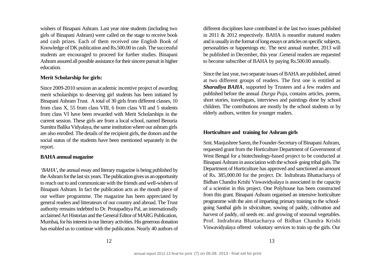wishers of Binapani Ashram. Last year nine students (including two girls of Binapani Ashram) were called on the stage to receive book and cash prizes. Each of them received one English Book of Knowledge of DK publication and Rs.500.00 in cash. The successful students are encouraged to proceed for further studies. Binapani Ashram assured all possible assistance for their sincere pursuit in higher education.

## **Merit Scholarship for girls:**

Since 2009-2010 session an academic incentive project of awarding merit scholarships to deserving girl students has been initiated by Binapani Ashram Trust. A total of 30 girls from different classes, 10 from class X, 55 from class VIII, 6 from class VII and 5 students from class VI have been rewarded with Merit Scholarships in the current session. These girls are from a local school, named Benuria Sumitra Balika Vidyalaya, the same institution where our ashram girls are also enrolled. The details of the recipient girls, the donors and the social status of the students have been mentioned separately in the report.

#### **BAHA annual magazine**

*'BAHA'***,** the annual essay and literary magazine is being published by the Ashram for the last six years. The publication gives us an opportunity to reach out to and communicate with the friends and well-wishers of Binapani Ashram. In fact the publication acts as the mouth piece of our welfare programme. The magazine has been appreciated by general readers and litterateurs of our country and abroad. The Trust authority remains indebted to Dr. Protapaditya Pal, an internationally acclaimed Art Historian and the General Editor of MARG Publication, Mumbai**,** for his interest in our literary activities. His generous donation has enabled us to continue with the publication. Nearly 40 authors of different disciplines have contributed in the last two issues published in 2011 & 2012 respectively. BAHA is meantfor matured readers and is usually in the format of long essays or articles on specific subjects, personalities or happenings etc. The next annual number, 2013 will be published in December, this year .General readers are requested to become subscriber of BAHA by paying Rs.500.00 annually.

Since the last year, two separate issues of BAHA are published, aimed at two different groups of readers. The first one is entitled as *Sharadiya BAHA*, supported by Trustees and a few readers and published before the annual *Durga Puja*, contains articles, poems, short stories, travelogues, interviews and paintings done by school children. The contributions are mostly by the school students or by elderly authors, written for younger readers.

### **Horticulture and training for Ashram girls**

Smt. Manjushree Saren, the Founder-Secretary of Binapani Ashram, requested grant from the Horticulture Department of Government of West Bengal for a biotechnology**-**based project to be conducted at Binapani Ashram in association with the school**-** going tribal girls. The Department of Horticulture has approved and sanctioned an amount of Rs. 385,000.00 for the project. Dr. Indrabrata Bhattacharya of Bidhan Chandra Krishi Viswavidyalaya is associated in the capacity of a scientist in this project. One Polyhouse has been constructed from this grant. Binapani Ashram organised an intensive horticulture programme with the aim of imparting primary training to the schoolgoing Santhal girls in silviculture, sowing of paddy, cultivation and harvest of paddy, oil seeds etc. and growing of seasonal vegetables. Prof. Indrabrata Bhattacharya of Bidhan Chandra Krishi Viswavidyalaya offered voluntary services to train up the girls. Our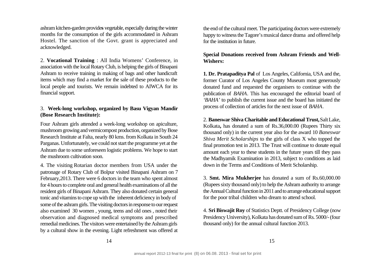ashram kitchen-garden provide**s** vegetable, especially during the winter months for the consumption of the girls accommodated in Ashram Hostel. The sanction of the Govt. grant is appreciated and acknowledged.

2. **Vocational Training** : All India Womens' Conference, in association with the local Rotary Club, is helping the girls of Binapani Ashram to receive training in making of bags and other handicraft items which may find a market for the sale of these products to the local people and tourists. We remain indebted to AIWCA for its financial support.

## 3. **Week-long workshop, organized by Basu Vigyan Mandir (Bose Research Institute):**

Four Ashram girls attended a week-long workshop on apiculture, mushroom growing and vermicompost production, organized by Bose Research Institute at Falta, nearly 80 kms. from Kolkata in South 24 Parganas. Unfortunately, we could not start the programme yet at the Ashram due to some unforeseen logistic problems. We hope to start the mushroom cultivation soon.

4. The visiting Rotarian doctor members from USA under the patronage of Rotary Club of Bolpur visited Binapani Ashram on 7 February,2013. There were 6 doctors in the team who spent almost for 4 hours to complete oral and general health examinations of all the resident girls of Binapani Ashram. They also donated certain general tonic and vitamins to cope up with the inherent deficiency in body of some of the ashram girls. The visiting doctors in response to our request also examined 30 women , young, teens and old ones , noted their observation and diagnosed medical symptoms and prescribed remedial medicines. The visitors were entertained by the Ashram girls by a cultural show in the evening. Light refreshment was offered at

the end of the cultural meet. The participating doctors were extremely happy to witness the Tagore's musical dance drama and offered help for the institution in future.

## **Special Donations received from Ashram Friends and Well-Wishers:**

**1. Dr. Pratapaditya Pal** of Los Angeles, California, USA and the, former Curator of Los Angeles County Museum most generously donated fund and requested the organisers to continue with the publication of *BAHA*. This has encouraged the editorial board of *'BAHA'* to publish the current issue and the board has initiated the process of collection of articles for the next issue of *BAHA*.

2. **Baneswar Shiva Charitable and Educational Trust,** Salt Lake, Kolkata**,** has donated a sum of Rs.36,000.00 (Rupees Thirty six thousand only) in the current year also for the award 10 *Baneswar Shiva Merit Scholarships* to the girls of class X who topped the final promotion test in 2013. The Trust will continue to donate equal amount each year to these students in the future years till they pass the Madhyamik Examination in 2013, subject to conditions as laid down in the Terms and Conditions of Merit Scholarship.

3. **Smt. Mira Mukherjee** has donated a sum of Rs.60,000.00 (Rupees sixty thousand only) to help the Ashram authority to arrange the Annual Cultural function in 2011 and to arrange educational support for the poor tribal children who dream to attend school.

4. **Sri Biswajit Roy** of Statistics Deptt. of Presidency College (now Presidency University), Kolkata has donated sum of Rs. 5000/- (four thousand only) for the annual cultural function 2013.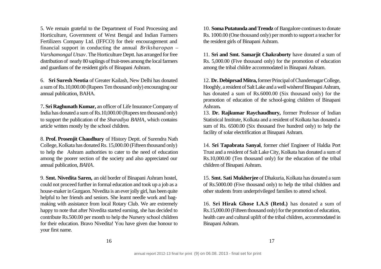5. We remain grateful to the Department of Food Processing and Horticulture, Government of West Bengal and Indian Farmers Fertilizers Company Ltd. (IFFCO) for their encouragement and financial support in conducting the annual *Briksharopan – Varshamongal Utsav*. The Horticulture Deptt. has arranged for free distribution of nearly 80 saplings of fruit-trees among the local farmers and guardians of the resident girls of Binapani Ashram.

6. **Sri Suresh Neotia** of Greater Kailash, New Delhi has donated a sum of Rs.10,000.00 (Rupees Ten thousand only) encouraging our annual publication, BAHA.

7**. Sri Raghunath Kumar,** an officer of Life Insurance Company of India has donated a sum of Rs.10,000.00 (Rupees ten thousand only) to support the publication of the *Sharadiya BAHA*, which contains article written mostly by the school children.

8. **Prof. Prosenjit Chaudhury** of History Deptt. of Surendra Nath College, Kolkata has donated Rs. 15,000.00 (Fifteen thousand only) to help the Ashram authorities to cater to the need of education among the poorer section of the society and also appreciated our annual publication, *BAHA*.

9. **Smt. Nivedita Saren,** an old border of Binapani Ashram hostel, could not proceed further in formal education and took up a job as a house-maker in Gurgaon. Nivedita is an ever jolly girl, has been quite helpful to her friends and seniors. She learnt needle work and bagmaking with assistance from local Rotary Club. We are extremely happy to note that after Nivedita started earning, she has decided to contribute Rs.500.00 per month to help the Nursery school children for their education. Bravo Nivedita! You have given due honour to your first name.

10. **Soma Putatunda and Trendz** of Bangalore continues to donate Rs. 1000.00 (One thousand only) per month to support a teacher for the resident girls of Binapani Ashram.

11. **Sri and Smt. Samarjit Chakraborty** have donated a sum of Rs. 5,000.00 (Five thousand only) for the promotion of education among the tribal childre accommodated in Binapani Ashram.

12. **Dr. Debiprsad Mitra,** former Principal of Chandernagar College, Hooghly, a resident of Salt Lake and a well wisherof Binapani Ashram, has donated a sum of Rs.6000.00 (Six thousand only) for the promotion of education of the school-going children of Binapani Ashram**.**

13. **Dr. Rajkumar Raychaudhury,** former Professor of Indian Statistical Institute, Kolkata and a resident of Kolkata has donated a sum of Rs. 6500.00 (Six thousand five hundred only) to help the facility of solar electrification at Binapani Ashram.

14. **Sri Tapabrata Sanyal**, former chief Engineer of Haldia Port Trust and a resident of Salt Lake City, Kolkata has donated a sum of Rs.10,000.00 (Ten thousand only) for the education of the tribal children of Binapani Ashram.

15. **Smt. Sati Mukherjee** of Dhakuria, Kolkata has donated a sum of Rs.5000.00 (Five thousand only) to help the tribal children and other students from underprivileged families to attend school.

16. **Sri Hirak Ghose I.A.S (Retd.)** has donated a sum of Rs.15,000.00 (Fifteen thousand only) for the promotion of education, health care and cultural uplift of the tribal children, accommodated in Binapani Ashram.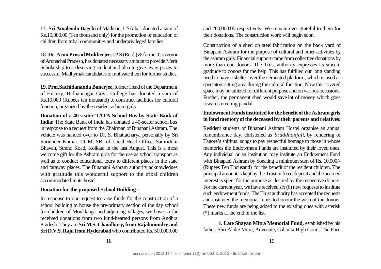17. **Sri Amalendu Bagchi** of Madison, USA has donated a sum of Rs.10,000.00 (Ten thousand only) for the promotion of education of children from tribal communities and underprivileged families.

18. **Dr. Arun Prosad Mukherjee,** I.P.S (Retd.) & former Governor of Arunachal Pradesh, has donated necessary amount to provide Merit Scholarship to a deserving student and also to give away prizes to successful Madhymak candidates to motivate them for further studies.

**19. Prof.Sachidananda Banerjee,** former Head of the Department of History, Bidhannagar Govt. College has donated a sum of Rs.10,000 (Rupees ten thousand) to construct facilities for cultural function, organized by the resident ashram girls.

**Donation of a 40-seater TATA School Bus by State Bank of India:** The State Bank of India has donated a 40-seater school bus in response to a request from the Chairman of Binapani Ashram. The vehicle was handed over to Dr. S. Bhattacharya personally by Sri Suriender Kumar, CGM, SBI of Local Head Office, Samriddhi Bhavan, Strand Road, Kolkata in the last August. This is a most welcome gift for the Ashram girls for the use as school transport as well as to conduct educational tour**s** to different places in the state and faraway places. The Binapani Ashram authority acknowledges with gratitude this wonderful support to the tribal children accommodated in its hostel.

#### **Donation for the proposed School Building :**

In response to our request to raise funds for the construction of a school building to house the pre-primary section of the day school for children of Mouldanga and adjoining villages, we have so far received donations from two kind-hearted persons from Andhra Pradesh. They are **Sri M.S. Chaudhury, from Rajahmundry and Sri D.V.S. Raju from Hyderabad** who contributed Rs. 500,000.00

and 200,000.00 respectively. We remain ever-grateful to them for their donations. The construction work will begin soon.

Construction of a shed on steel fabrication on the back yard of Binapani Ashram for the purpose of cultural and other activities by the ashram girls. Financial support came from collective donations by more than one donors. The Trust authority expresses its sincere gratitude to donors for the help. This has fulfilled our long standing need to have a shelter over the cemented platform, which is used as spectators sitting area during the cultural function. Now this covered space may be utilized for different purpose and on various occasions. Further, the permanent shed would save lot of money which goes towards erecting pandal

## **Endowment Funds instituted for the benefit of the Ashram girls in fond memory of the deceased by their parents and relatives:**

Resident students of Binapani Ashram Hostel organise an annual remembrance day, christened as *Sraddhanjali*, by rendering of Tagore's spiritual songs to pay respectful homage to those in whose memories the Endowment Funds are instituted by their loved ones. Any individual or an institution may institute an Endowment Fund with Binapani Ashram by donating a minimum sum of Rs. 10,000/- (Rupees Ten Thousand) for the benefit of the resident children. The principal amount is kept by the Trust in fixed deposit and the accrued interest is spent for the purpose as desired by the respective donors. For the current year, we have received six (6) new requests to institute such endowment funds. The Trust authority has accepted the requests and instituted the memorial funds to honour the wish of the donors. These new funds are being added to the existing ones with asterisk (\*) marks at the end of the list.

**1. Late Shayan Mitra Memorial Fund,** established by his father, Shri Aloke Mitra, Advocate, Calcutta High Court. The Face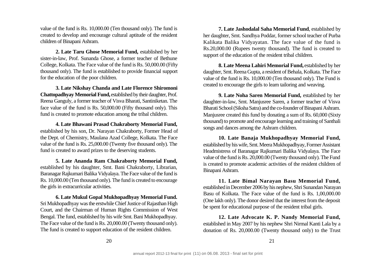value of the fund is Rs. 10,000.00 (Ten thousand only). The fund is created to develop and encourage cultural aptitude of the resident children of Binapani Ashram.

**2. Late Taru Ghose Memorial Fund,** established by her sister-in-law, Prof. Sunanda Ghose, a former teacher of Bethune College, Kolkata. The Face value of the fund is Rs. 50,000.00 (Fifty thousand only). The fund is established to provide financial support for the education of the poor children.

**3. Late Nikshay Chanda and Late Florence Shiromoni Chattopadhyay Memorial Fund,** established by their daughter, Prof. Reena Ganguly, a former teacher of Visva Bharati, Santiniketan. The face value of the fund is Rs. 50,000.00 (Fifty thousand only). This fund is created to promote education among the tribal children.

**4. Late Bhawani Prasad Chakraborty Memorial Fund,** established by his son, Dr. Narayan Chakraborty, Former Head of the Dept. of Chemistry, Maulana Azad College, Kolkata. The Face value of the fund is Rs. 25,000.00 (Twenty five thousand only). The fund is created to award prizes to the deserving students.

**5. Late Ananda Ram Chakraborty Memorial Fund,** established by his daughter, Smt. Bani Chakraborty, Librarian, Baranagar Rajkumari Balika Vidyalaya. The Face value of the fund is Rs. 10,000.00 (Ten thousand only). The fund is created to encourage the girls in extracurricular activities.

**6. Late Mukul Gopal Mukhopadhyay Memorial Fund.** Sri Mukhopadhyay was the erstwhile Chief Justice of Rajasthan High Court, and the Chairman of Human Rights Commission of West Bengal. The fund, established by his wife Smt. Bani Mukhopadhyay. The Face value of the fund is Rs. 20,000.00 (Twenty thousand only). The fund is created to support education of the resident children.

**7. Late Jashodalal Saha Memorial Fund**, established by her daughter, Smt. Sandhya Poddar, former school teacher of Purba Kalikata Balika Vidyayatan. The face value of the fund is Rs.20,000.00 (Rupees twenty thousand). The fund is created to support of the education of the resident tribal children.

**8. Late Meena Lahiri Memorial Fund,** established by her daughter, Smt. Reena Gupta, a resident of Behala, Kolkata. The Face value of the fund is Rs. 10,000.00 (Ten thousand only). The Fund is created to encourage the girls to learn tailoring and weaving.

**9. Late Noha Saren Memorial Fund,** established by her daughter-in-law, Smt. Manjusree Saren, a former teacher of Visva Bharati School (Siksha Satra) and the co-founder of Binapani Ashram. Manjusree created this fund by donating a sum of Rs. 60,000 (Sixty thousand) to promote and encourage learning and training of Santhali songs and dances among the Ashram children.

**10. Late Banaja Mukhopadhyay Memorial Fund,** established by his wife, Smt. Meera Mukhopadhyay, Former Assistant Headmistress of Baranagar Rajkumari Balika Vidyalaya. The Face value of the fund is Rs. 20,000.00 (Twenty thousand only). The Fund is created to promote academic activities of the resident children of Binapani Ashram.

**11. Late Bimal Narayan Basu Memorial Fund,** established in December 2006 by his nephew, Shri Sunandan Narayan Basu of Kolkata. The Face value of the fund is Rs. 1,00,000.00 (One lakh only). The donor desired that the interest from the deposit be spent for educational purpose of the resident tribal girls.

**12. Late Advocate K. P. Nandy Memorial Fund,** established in May 2007 by his nephew Shri Nirmal Kanti Lala by a donation of Rs. 20,000.00 (Twenty thousand only) to the Trust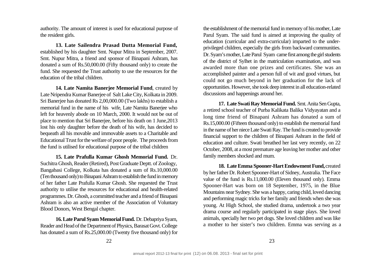authority. The amount of interest is used for educational purpose of the resident girls.

**13. Late Sailendra Prasad Dutta Memorial Fund,** established by his daughter Smt. Nupur Mitra in September, 2007. Smt. Nupur Mitra, a friend and sponsor of Binapani Ashram, has donated a sum of Rs.50,000.00 (Fifty thousand only) to create the fund. She requested the Trust authority to use the resources for the education of the tribal children.

**14. Late Namita Banerjee Memorial Fund**, created by Late Nripendra Kumar Banerjee of Salt Lake City, Kolkata in 2009. Sri Banerjee has donated Rs 2,00,000.00 (Two lakhs) to establish a memorial fund in the name of his wife, Late Namita Banerjee who left for heavenly abode on 10 March, 2000. It would not be out of place to mention that Sri Banerjee, before his death on 1 June,2013 lost his only daughter before the death of his wife, has decided to bequeath all his movable and immovable assets to a Charitable and Educational Trust for the welfare of poor people. The proceeds from the fund is utilised for educational purpose of the tribal children

**15. Late Prafulla Kumar Ghosh Memorial Fund.** Dr. Suchitra Ghosh, Reader (Retired), Post Graduate Deptt. of Zoology, Bangabasi College, Kolkata has donated a sum of Rs.10,000.00 (Ten thousand only) to Binapani Ashram to establish the fund in memory of her father Late Prafulla Kumar Ghosh. She requested the Trust authority to utilise the resources for educational and health-related programmes. Dr. Ghosh, a committed teacher and a friend of Binapani Ashram is also an active member of the Association of Voluntary Blood Donors, West Bengal chapter.

**16. Late Parul Syam Memorial Fund.** Dr. Debapriya Syam, Reader and Head of the Department of Physics, Barasat Govt. College has donated a sum of Rs.25,000.00 (Twenty five thousand only) for the establishment of the memorial fund in memory of his mother, Late Parul Syam. The said fund is aimed at improving the quality of education (curricular and extra-curricular) imparted to the underprivileged children, especially the girls from backward communities. Dr. Syam's mother, Late Parul Syam came first among the girl students of the district of Sylhet in the matriculation examination, and was awarded more than one prizes and certificates. She was an accomplished painter and a person full of wit and good virtues, but could not go much beyond in her graduation for the lack of opportunities. However, she took deep interest in all education-related discussions and happenings around her.

**17. Late Swati Ray Memorial Fund.** Smt. Anita Sen Gupta, a retired school teacher of Purba Kalikata Balika Vidyayatan and a long time friend of Binapani Ashram has donated a sum of Rs.15,000.00 (Fifteen thousand only) to establish the memorial fund in the name of her niece Late Swati Ray. The fund is created to provide financial support to the children of Binapani Ashram in the field of education and culture. Swati breathed her last very recently, on 22 October, 2008, at a most premature age leaving her mother and other family members shocked and mum.

**18. Late Emma Spooner-Hart Endowment Fund,** created by her father Dr. Robert Spooner-Hart of Sidney, Australia. The Face value of the fund is Rs.11,000.00 (Eleven thousand only). Emma Spooner-Hart was born on 18 September, 1975, in the Blue Mountains near Sydney. She was a happy, caring child, loved dancing and performing magic tricks for her family and friends when she was young. At High School, she studied drama, undertook a two year drama course and regularly participated in stage plays. She loved animals, specially her two pet dogs. She loved children and was like a mother to her sister's two children. Emma was serving as a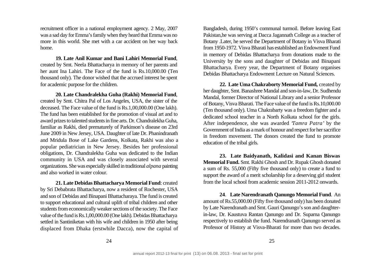recruitment officer in a national employment agency. 2 May, 2007 was a sad day for Emma's family when they heard that Emma was no more in this world. She met with a car accident on her way back home.

**19. Late Anil Kumar and Bani Lahiri Memorial Fund**, created by Smt. Neela Bhattacharya in memory of her parents and her aunt Ina Lahiri. The Face of the fund is Rs.10,000.00 (Ten thousand only). The donor wished that the accrued interest be spent for academic purpose for the children.

**20. Late Chandralekha Guha (Rakhi) Memorial Fund**, created by Smt. Chitra Pal of Los Angeles, USA, the sister of the deceased. The Face value of the fund is Rs.1,00,000.00 (One lakh). The fund has been established for the promotion of visual art and to award prizes to talented students in fine arts. Dr. Chandralekha Guha, familiar as Rakhi, died prematurely of Parkinson's disease on 23rd June 2009 in New Jersey, USA. Daughter of late Dr. Phanindranath and Mridula Bose of Lake Gardens, Kolkata, Rakhi was also a popular pediatrician in New Jersey. Besides her professional obligations, Dr. Chandralekha Guha was dedicated to the Indian community in USA and was closely associated with several organizations. She was especially skilled in traditional *alpana* painting and also worked in water colour.

**21. Late Debidas Bhattacharya Memorial Fund**: created by Sri Debabrata Bhattacharya, now a resident of Rochester, USA and son of Debidas and Binapani Bhattacharaya. The fund is created to support educational and cultural uplift of tribal children and other students from economically weaker sections of the society. The Face value of the fund is Rs.1,00,000.00 (One lakh). Debidas Bhattacharya settled in Santiniketan with his wife and children in 1950 after being displaced from Dhaka (erstwhile Dacca), now the capital of Bangladesh, during 1950's communal turmoil. Before leaving East Pakistan,he was serving at Dacca Jagannath College as a teacher of Botany .Later, he served the Department of Botany in Visva Bharati from 1950-1972. Visva Bharati has established an Endowment Fund in memory of Debidas Bhattacharya from donations made to the University by the sons and daughter of Debidas and Binapani Bhattacharya. Every year, the Department of Botany organises Debidas Bhattacharya Endowment Lecture on Natural Sciences.

 **22. Late Uma Chakraborty Memorial Fund,** created by her daughter, Smt. Banashree Mandal and son-in-law, Dr. Sudhendu Mandal, former Director of National Library and a senior Professor of Botany, Visva Bharati. The Face value of the fund is Rs.10,000.00 (Ten thousand only). Uma Chakrabarty was a freedom fighter and a dedicated school teacher in a North Kolkata school for the girls. After independence, she was awarded '*Tamra Patra'* by the Government of India as a mark of honour and respect for her sacrifice in freedom movement. The donors created the fund to promote education of the tribal girls.

**23. Late Baidyanath, Kalidasi and Kanan Biswas Memorial Fund.** Smt. Rakhi Ghosh and Dr. Rupak Ghosh donated a sum of Rs. 55,000 (Fifty five thousand only) to create a fund to support the award of a merit scholarship for a deserving girl student from the local school from academic session 2011-2012 onwards.

**24**. **Late Narendranath Qanungo Memorial Fund**. An amount of Rs.55,000.00 (Fifty five thousand only) has been donated by Late Narendranath and Smt. Gauri Qanungo's son and daughterin-law, Dr. Kaustuva Rantan Qanungo and Dr. Suparna Qanungo respectively to establish the fund. Narendranath Qanungo served as Professor of History at Visva-Bharati for more than two decades.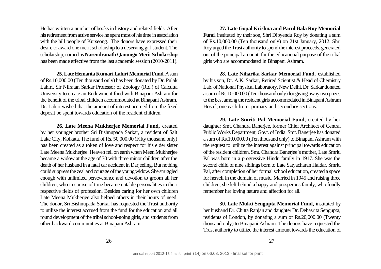He has written a number of books in history and related fields. After his retirement from active service he spent most of his time in association with the hill people of Kurseong. The donors have expressed their desire to award one merit scholarship to a deserving girl student. The scholarship, named as **Narendranath Qanungo Merit Scholarship** has been made effective from the last academic session (2010-2011).

**25. Late Hemanta Kumari Lahiri Memorial Fund.** A sum of Rs.10,000.00 (Ten thousand only) has been donated by Dr. Pulak Lahiri, Sir Nilratan Sarkar Professor of Zoology (Rtd.) of Calcutta University to create an Endowment fund with Binapani Ashram for the benefit of the tribal children accommodated at Binapani Ashram. Dr. Lahiri wished that the amount of interest accrued from the fixed deposit be spent towards education of the resident children.

**26. Late Meena Mukherjee Memorial Fund,** created by her younger brother Sri Bishnupada Sarkar, a resident of Salt Lake City, Kolkata. The fund of Rs. 50,000.00 (Fifty thousand only) has been created as a token of love and respect for his elder sister Late Meena Mukherjee. Heaven fell on earth when Meen Mukherjee became a widow at the age of 30 with three minor children after the death of her husband in a fatal car accident in Darjeeling. But nothing could suppress the zeal and courage of the young widow. She struggled enough with unlimited perseverance and devotion to groom all her children, who in course of time became notable personalities in their respective fields of profession. Besides caring for her own children Late Meena Mukherjee also helped others in their hours of need. The donor, Sri Bishnupada Sarkar has requested the Trust authority to utilize the interest accrued from the fund for the education and all round development of the tribal school-going girls, and students from other backward communities at Binapani Ashram.

**27. Late Gopal Krishna and Parul Bala Roy Memorial Fund**, instituted by their son, Shri Dibyendu Roy by donating a sum of Rs.10,000.00 (Ten thousand only) on 21st January, 2012. Shri Roy urged the Trust authority to spend the interest proceeds, generated out of the principal amount, for the educational purpose of the tribal girls who are accommodated in Binapani Ashram.

**28. Late Niharika Sarkar Memorial Fund,** established by his son, Dr. A.K. Sarkar, Retired Scientist & Head of Chemistry Lab. of National Physical Laboratory, New Delhi. Dr. Sarkar donated a sum of Rs.10,000.00 (Ten thousand only) for giving away two prizes to the best among the resident girls accommodated in Binapani Ashram Hostel, one each from primary and secondary sections.

**29. Late Smriti Pal Memorial Fund,** created by her daughter Smt. Chandra Banerjee, former Chief Architect of Central Public Works Department, Govt. of India. Smt. Banerjee has donated a sum of Rs.10,000.00 (Ten thousand only) to Binapani Ashram with the request to utilize the interest against principal towards education of the resident children. Smt. Chandra Banerjee's mother, Late Smriti Pal was born in a progressive Hindu family in 1917. She was the second child of nine siblings born to Late Satyacharan Haldar. Smriti Pal, after completion of her formal school education, created a space for herself in the domain of music. Married in 1945 and raising three children, she left behind a happy and prosperous family, who fondly remember her loving nature and affection for all.

**30. Late Mukti Sengupta Memorial Fund,** instituted by her husband Dr. Chitta Ranjan and daughter Dr. Debasrita Sengupta, residents of London, by donating a sum of Rs.20,000.00 (Twenty thousand only) to Binapani Ashram. The donors have requested the Trust authority to utilize the interest amount towards the education of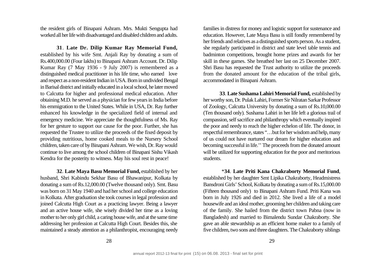the resident girls of Binapani Ashram. Mrs. Mukti Sengupta had worked all her life with disadvantaged and disabled children and adults.

**31**. **Late Dr. Dilip Kumar Ray Memorial Fund,** established by his wife Smt. Anjali Ray by donating a sum of Rs.400,000.00 (Four lakhs) to Binapani Ashram Account. Dr. Dilip Kumar Ray (7 May 1936 - 9 July 2007) is remembered as a distinguished medical practitioner in his life time, who earned love and respect as a non-resident Indian in USA. Born in undivided Bengal in Barisal district and initially educated in a local school, he later moved to Calcutta for higher and professional medical education. After obtaining M.D. he served as a physician for few years in India before his emmigration to the United States. While in USA, Dr. Ray further enhanced his knowledge in the specialized field of internal and emergency medicine. We appreciate the thoughtfulness of Ms. Ray for her gesture to support our cause for the poor. Further, she has requested the Trustee to utilize the proceeds of the fixed deposit by providing nutritious, home cooked meals to the Nursery School children, taken care of by Binapani Ashram. We wish, Dr. Ray would continue to live among the school children of Binapani Sishu Vikash Kendra for the posterity to witness. May his soul rest in peace!

**32**. **Late Maya Basu Memorial Fund,** established by her husband, Shri Kabindu Sekhar Basu of Bhawanipur, Kolkata by donating a sum of Rs.12,000.00 (Twelve thousand only). Smt. Basu was born on 31 May 1940 and had her school and college education in Kolkata. After graduation she took courses in legal profession and joined Calcutta High Court as a practicing lawyer. Being a lawyer and an active house wife, she wisely divided her time as a loving mother to her only girl child, a caring house wife, and at the same time addressing her profession at Calcutta High Court. Besides this, she maintained a steady attention as a philanthropist, encouraging needy

families in distress for money and logistic support for sustenance and education. However, Late Maya Basu is still fondly remembered by her friends and relatives as a distinguished sports person. As a student, she regularly participated in district and state level table tennis and badminton competitions, brought home prizes and awards for her skill in these games. She breathed her last on 25 December 2007. Shri Basu has requested the Trust authority to utilize the proceeds from the donated amount for the education of the tribal girls, accommodated in Binapani Ashram.

**33**. **Late Sushama Lahiri Memorial Fund,** established by her worthy son, Dr. Pulak Lahiri, Former Sir Nilratan Sarkar Professor of Zoology, Calcutta University by donating a sum of Rs.10,000.00 (Ten thousand only). Sushama Lahiri in her life left a glorious trail of compassion, self sacrifice and philanthropy which eventually inspired the poor and needy to reach the higher echelon of life. The donor, in respectful remembrance, states "…but for her wisdom and help, many of us could not have nurtured our dream for higher education and becoming successful in life.'' The proceeds from the donated amount will be utilized for supporting education for the poor and meritorious students.

 \***34**. **Late Priti Kana Chakraborty Memorial Fund**, established by her daughter Smt Lipika Chakraborty, Headmistress Bansdroni Girls' School, Kolkata by donating a sum of Rs.15,000.00 (Fifteen thousand only) to Binapani Ashram Fund. Priti Kana was born in July 1926 and died in 2012. She lived a life of a model housewife and an ideal mother, grooming her children and taking care of the family. She hailed from the district town Pabna (now in Bangladesh) and married to Bimalendu Sundar Chakraborty. She gave an able stewardship as an efficient home maker to a family of five children, two sons and three daughters. The Chakraborty siblings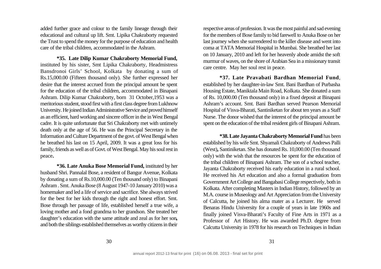added further grace and colour to the family lineage through their educational and cultural up lift. Smt. Lipika Chakraborty requested the Trust to spend the money for the purpose of education and health care of the tribal children, accommodated in the Ashram.

**\*35. Late Dilip Kumar Chakraborty Memorial Fund,** instituted by his sister, Smt Lipika Chakraborty, Headmistress Bansdronoi Girls' School, Kolkata by donating a sum of Rs.15,000.00 (Fifteen thousand only). She further expressed her desire that the interest accrued from the principal amount be spent for the education of the tribal children, accommodated in Binapani Ashram. Dilip Kumar Chakraborty, born 31 October,1953 was a meritorious student, stood first with a first class degree from Lukhnow University. He joined Indian Administrative Service and proved himself as an efficient, hard working and sincere officer in the in West Bengal cadre. It is quite unfortunate that Sri Chakraborty met with untimely death only at the age of 56. He was the Principal Secretary in the Information and Culture Department of the govt. of West Bengal when he breathed his last on 15 April, 2009. It was a great loss for his family, friends as well as of Govt. of West Bengal. May his soul rest in peace**.**

**\*36. Late Anuka Bose Memorial Fund,** instituted by her husband Shri. Pannalal Bose, a resident of Bangur Avenue, Kolkata by donating a sum of Rs.10,000.00 (Ten thousand only) to Binapani Ashram . Smt. Anuka Bose (8 August 1947-10 January 2010) was a homemaker and led a life of service and sacrifice. She always strived for the best for her kids through the right and honest effort. Smt. Bose through her passage of life, established herself a true wife, a loving mother and a fond grandma to her grandson. She treated her daughter's education with the same attitude and zeal as for her son**,** and both the siblings established themselves as worthy citizens in their

respective areas of profession. It was the most painful and sad evening for the members of Bose family to bid farewell to Anuka Bose on her last journey when she surrendered to the killer disease and went into coma at TATA Memorial Hospital in Mumbai. She breathed her last on 10 January, 2010 and left for her heavenly abode amidst the soft murmur of waves, on the shore of Arabian Sea in a missionary transit care centre. May her soul rest in peace.

**\*37. Late Pravabati Bardhan Memorial Fund**, established by her daughter-in-law Smt. Bani Bardhan of Purbasha Housing Estate, Maniktala Main Road, Kolkata. She donated a sum of Rs. 10,000.00 (Ten thousand only) in a fixed deposit at Binapani Ashram's account. Smt. Bani Bardhan served Pearson Memorial Hospital of Visva-Bharati, Santiniketan for about ten years as a Staff Nurse. The donor wished that the interest of the principal amount be spent on the education of the tribal resident girls of Binapani Ashram.

**\*38. Late Jayanta Chakraborty Memorial Fund** has been established by his wife Smt. Shyamali Chakraborty of Andrews Palli (West)**,** Santiniketan. She has donated Rs. 10,000.00 (Ten thousand only) with the wish that the resources be spent for the education of the tribal children of Binapani Ashram. The son of a school teacher, Jayanta Chakraborty received his early education in a rural school. He received his Art education and also a formal graduation from Government Art College and Bangabasi College respectively, both in Kolkata. After completing Masters in Indian History, followed by an M.A. course in Museology and Art Appreciation from the University of Calcutta, he joined his alma mater as a Lecturer. He served Benaras Hindu University for a couple of years in late 1960s and finally joined Visva-Bharati's Faculty of Fine Arts in 1971 as a Professor of Art History. He was awarded Ph.D. degree from Calcutta University in 1978 for his research on Techniques in Indian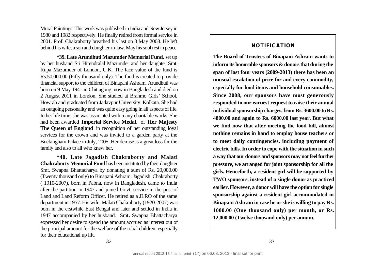Mural Paintings. This work was published in India and New Jersey in 1980 and 1982 respectively. He finally retired from formal service in 2001. Prof. Chakraborty breathed his last on 3 May 2008. He left behind his wife, a son and daughter-in-law. May his soul rest in peace.

**\*39. Late Arundhuti Mazumder Memorial Fund,** set up by her husband Sri Hirendralal Mazumder and her daughter Smt. Rupa Mazumder of London, U.K. The face value of the fund is Rs.50,000.00 (Fifty thousand only). The fund is created to provide financial support to the children of Binapani Ashram. Arundhuti was born on 9 May 1941 in Chittagong, now in Bangladesh and died on 2 August 2011 in London. She studied at Brahmo Girls' School, Howrah and graduated from Jadavpur University, Kolkata. She had an outgoing personality and was quite easy going in all aspects of life. In her life time, she was associated with many charitable works. She had been awarded **Imperial Service Medal**, of **Her Majesty The Queen of England** in recognition of her outstanding loyal services for the crown and was invited to a garden party at the Buckingham Palace in July, 2005. Her demise is a great loss for the family and also to all who knew her.

**\*40. Late Jagadish Chakraborty and Malati Chakraborty Memorial Fund** has been instituted by their daughter Smt. Swapna Bhattacharya by donating a sum of Rs. 20,000.00 (Twenty thousand only) to Binapani Ashram. Jagadish Chakraborty ( 1910-2007), born in Pabna, now in Bangladesh, came to India after the partition in 1947 and joined Govt. service in the post of Land and Land Reform Officer. He retired as a JLRO of the same department in 1957. His wife, Malati Chakraborty (1920-2007) was born in the erstwhile East Bengal and later and settled in India in 1947 accompanied by her husband. Smt**.** Swapna Bhattacharya expressed her desire to spend the amount accrued as interest out of the principal amount for the welfare of the tribal children, especially for their educational up lift.

# **NOTIFICATION**

**The Board of Trustees of Binapani Ashram wants to inform its honorable sponsors & donors that during the span of last four years (2009-2013) there has been an unusual escalation of price for and every commodity, especially for food items and household consumables. Since 2008, our sponsors have most generously responded to our earnest request to raise their annual individual sponsorship charges, from Rs. 3600.00 to Rs. 4800.00 and again to Rs. 6000.00 last year. But what we find now that after meeting the food bill, almost nothing remains in hand to employ house teachers or to meet daily contingencies, including payment of electric bills. In order to cope with the situation in such a way that our donors and sponsors may not feel further pressure, we arranged for joint sponsorship for all the girls. Henceforth, a resident girl will be supported by TWO sponsors, instead of a single donor as practiced earlier. However, a donor will have the option for single sponsorship against a resident girl accommodated in Binapani Ashram in case he or she is willing to pay Rs. 1000.00 (One thousand only) per month, or Rs. 12,000.00 (Twelve thousand only) per annum.**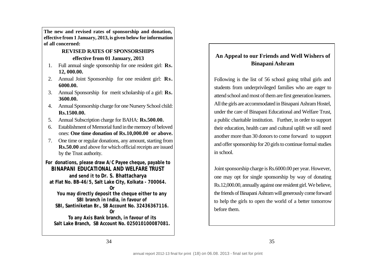**The new and revised rates of sponsorship and donation, effective from 1 January, 2013, is given below for information of all concerned:**

# **REVISED RATES OF SPONSORSHIPS effective from 01 January, 2013**

- 1. Full annual single sponsorship for one resident girl: **Rs. 12, 000.00.**
- 2. Annual Joint Sponsorship for one resident girl: **Rs. 6000.00.**
- 3. Annual Sponsorship for merit scholarship of a girl: **Rs. 3600.00.**
- 4. Annual Sponsorship charge for one Nursery School child: **Rs.1500.00.**
- 5. Annual Subscription charge for BAHA: **Rs.500.00.**
- 6. Establishment of Memorial fund in the memory of beloved ones: **One time donation of Rs.10,000.00 or above.**
- 7. One time or regular donations, any amount, starting from **Rs.50.00** and above for which official receipts are issued by the Trust authority.
- **For donations, please draw A/C Payee cheque, payable to BINAPANI EDUCATIONAL AND WELFARE TRUST and send it to Dr. S. Bhattacharya at Flat No. BB-46/5, Salt Lake City, Kolkata - 700064. Or You may directly deposit the cheque either to any SBI branch in India, in favour of SBI, Santiniketan Br., SB Account No. 32436367116. Or To any Axis Bank branch, in favour of its Salt Lake Branch, SB Account No. 025010100087081.**

# **An Appeal to our Friends and Well Wishers of Binapani Ashram**

Following is the list of 56 school going tribal girls and students from underprivileged families who are eager to attend school and most of them are first generation learners. All the girls are accommodated in Binapani Ashram Hostel, under the care of Binapani Educational and Welfare Trust, a public charitable institution. Further, in order to support their education, health care and cultural uplift we still need another more than 30 donors to come forward to support and offer sponsorship for 20 girls to continue formal studies in school.

Joint sponsorship charge is Rs.6000.00 per year. However, one may opt for single sponsorship by way of donating Rs.12,000.00, annually against one resident girl. We believe, the friends of Binapani Ashram will generously come forward to help the girls to open the world of a better tomorrow before them.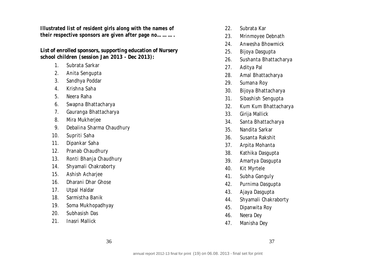**Illustrated list of resident girls along with the names of their respective sponsors are given after page no……….**

## **List of enrolled sponsors, supporting education of Nursery school children (session Jan 2013 - Dec 2013):**

- 1. Subrata Sarkar
- 2. Anita Sengupta
- 3. Sandhya Poddar
- 4. Krishna Saha
- 5. Neera Raha
- 6. Swapna Bhattacharya
- 7. Gauranga Bhattacharya
- 8. Mira Mukherjee
- 9. Debalina Sharma Chaudhury
- 10. Supriti Saha
- 11. Dipankar Saha
- 12. Pranab Chaudhury
- 13. Ronti Bhanja Chaudhury
- 14. Shyamali Chakraborty
- 15. Ashish Acharjee
- 16. Dharani Dhar Ghose
- 17. Utpal Haldar
- 18. Sarmistha Banik
- 19. Soma Mukhopadhyay
- 20. Subhasish Das
- 21. Inasri Mallick
- 22. Subrata Kar
- 23. Mrinmoyee Debnath
- 24. Anwesha Bhowmick
- 25. Bijoya Dasgupta
- 26. Sushanta Bhattacharya
- 27. Aditya Pal
- 28. Amal Bhattacharya
- 29. Sumana Roy
- 30. Bijoya Bhattacharya
- 31. Sibashish Sengupta
- 32. Kum Kum Bhattacharya
- 33. Girija Mallick
- 34. Santa Bhattacharya
- 35. Nandita Sarkar
- 36. Susanta Rakshit
- 37. Arpita Mohanta
- 38. Kathika Dasgupta
- 39. Amartya Dasgupta
- 40. Kit Myrtele
- 41. Subha Ganguly
- 42. Purnima Dasgupta
- 43. Ajaya Dasgupta
- 44. Shyamali Chakraborty
- 45. Dipanwita Roy
- 46. Neera Dey
- 47. Manisha Dey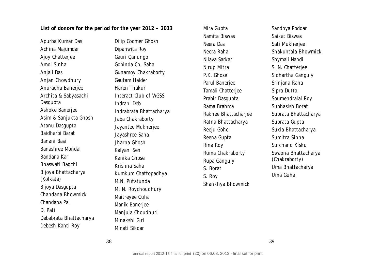## **List of donors for the period for the year 2012 – 2013**

Apurba Kumar Das Achina Majumdar Ajoy Chatterjee Amol Sinha Anjali Das Anjan Chowdhury Anuradha Banerjee Archita & Sabyasachi Dasgupta Ashoke Banerjee Asim & Sanjukta Ghosh Atanu Dasgupta Baidharbi Barat Banani Basi Banashree Mondal Bandana Kar Bhaswati Bagchi Bijoya Bhattacharya (Kolkata) Bijoya Dasgupta Chandana Bhowmick Chandana Pal D. Pati Debabrata Bhattacharya Debesh Kanti Roy

Dilip Coomer Ghosh Dipanwita Roy Gauri Qanungo Gobinda Ch. Saha Gunamoy Chakraborty Gautam Halder Haren Thakur Interact Club of WGSS Indrani Deb Indrabrata Bhattacharya Jaba Chakraborty Jayantee Mukherjee Jayashree Saha Jharna Ghosh Kalyani Sen Kanika Ghose Krishna Saha Kumkum Chattopadhya M.N. Putatunda M. N. Roychoudhury Maitreyee Guha Manik Banerjee Manjula Choudhuri Minakshi Giri Minati Sikdar

Mira Gupta Namita Biswas Neera Das Neera Raha Nilava Sarkar Nirup Mitra P.K. Ghose Parul Banerjee Tamali Chatterjee Prabir Dasgupta Rama Brahma Rakhee Bhattacharjee Ratna Bhattacharya Reeju Goho Reena Gupta Rina Roy Ruma Chakraborty Rupa Ganguly S. Borat S. Roy Shankhya Bhowmick

Sandhya Poddar Saikat Biswas Sati Mukherjee Shakuntala Bhowmick Shymali Nandi S. N. Chatterjee Sidhartha Ganguly Srinjana Raha Sipra Dutta Soumendralal Roy Subhasish Borat Subrata Bhattacharya Subrata Gupta Sukla Bhattacharya Sumitra Sinha Surchand Kisku Swapna Bhattacharya (Chakraborty) Uma Bhattacharya Uma Guha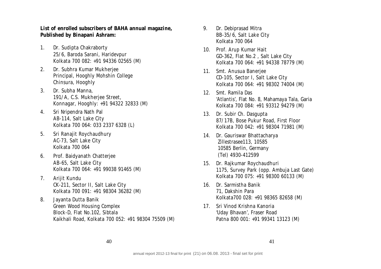## **List of enrolled subscribers of BAHA annual magazine, Published by Binapani Ashram:**

- 1. Dr. Sudipta Chakraborty 25/6, Baroda Sarani, Haridevpur Kolkata 700 082: +91 94336 02565 (M)
- 2. Dr. Subhra Kumar Mukherjee Principal, Hooghly Mohshin College Chinsura, Hooghly
- 3. Dr. Subha Manna, 191/A, C.S. Mukherjee Street, Konnagar, Hooghly: +91 94322 32833 (M)
- 4. Sri Nripendra Nath Pal AB-114, Salt Lake City Kolkata 700 064: 033 2337 6328 (L)
- 5. Sri Ranajit Roychaudhury AC-73, Salt Lake City Kolkata 700 064
- 6. Prof. Baidyanath Chatterjee AB-65, Salt Lake City Kolkata 700 064: +91 99038 91465 (M)
- 7. Arijit Kundu CK-211, Sector II, Salt Lake City Kolkata 700 091: +91 98304 36282 (M)
- 8. Jayanta Dutta Banik Green Wood Housing Complex Block-D, Flat No.102, Sibtala Kaikhali Road, Kolkata 700 052: +91 98304 75509 (M)
- 9. Dr. Debiprasad Mitra BB-35/6, Salt Lake City Kolkata 700 064
- 10. Prof. Arup Kumar Hait GD-362, Flat No.2 , Salt Lake City Kolkata 700 064: +91 94338 78779 (M)
- 11. Smt. Anusua Banerjee CD-105, Sector I, Salt Lake City Kolkata 700 064: +91 98302 74004 (M)
- 12. Smt. Ramila Das 'Atlantis', Flat No. 8, Mahamaya Tala, Garia Kolkata 700 084: +91 93312 94279 (M)
- 13. Dr. Subir Ch. Dasgupta 87/17B, Bose Pukur Road, First Floor Kolkata 700 042: +91 98304 71981 (M)
- 14. Dr. Gauriswar Bhattacharya Zillestrasee113, 10585 10585 Berlin, Germany (Tel) 4930-412599
- 15. Dr. Rajkumar Roychaudhuri 1175, Survey Park (opp. Ambuja Last Gate) Kolkata 700 075: +91 98300 60133 (M)
- 16. Dr. Sarmistha Banik 71, Dakshin Para Kolkata700 028: +91 98365 82658 (M)
- 17. Sri Vinod Krishna Kanoria 'Uday Bhavan', Fraser Road Patna 800 001: +91 99341 13123 (M)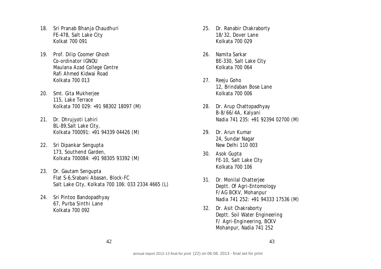- 18. Sri Pranab Bhanja Chaudhuri FE-478, Salt Lake City Kolkat 700 091
- 19. Prof. Dilip Coomer Ghosh Co-ordinator IGNOU Maulana Azad College Centre Rafi Ahmed Kidwai Road Kolkata 700 013
- 20. Smt. Gita Mukherjee 115, Lake Terrace Kolkata 700 029: +91 98302 18097 (M)
- 21. Dr. Dhrujyoti Lahiri BL-89,Salt Lake City, Kolkata 700091: +91 94339 04426 (M)
- 22. Sri Dipankar Sengupta 173, Southend Garden, Kolkata 700084: +91 98305 93392 (M)
- 23. Dr. Gautam Sengupta Flat S-6,Srabani Abasan, Block-FC Salt Lake City, Kolkata 700 106: 033 2334 4665 (L)
- 24. Sri Pintoo Bandopadhyay 67, Purba Sinthi Lane Kolkata 700 092
- 25. Dr. Ranabir Chakraborty 18/32, Dover Lane Kolkata 700 029
- 26. Namita Sarkar BE-330, Salt Lake City Kolkata 700 064
- 27. Reeju Goho 12, Brindaban Bose Lane Kolkata 700 006
- 28. Dr. Arup Chattopadhyay B-8/66/4A, Kalyani Nadia 741 235: +91 92394 02700 (M)
- 29. Dr. Arun Kumar 24, Sundar Nagar New Delhi 110 003
- 30. Asok Gupta FE-10, Salt Lake City Kolkata 700 106
- 31. Dr. Monilal Chatterjee Deptt. Of Agri-Entomology F/AG BCKV, Mohanpur Nadia 741 252: +91 94333 17536 (M)
- 32. Dr. Asit Chakraborty Deptt. Soil Water Engineering F/ Agri-Engineering, BCKV Mohanpur, Nadia 741 252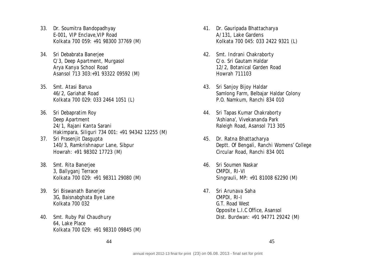- 33. Dr. Soumitra Bandopadhyay E-001, VIP Enclave,VIP Road Kolkata 700 059: +91 98300 37769 (M)
- 34. Sri Debabrata Banerjee C/3, Deep Apartment, Murgasol Arya Kanya School Road Asansol 713 303:+91 93322 09592 (M)
- 35. Smt. Atasi Barua 46/2, Gariahat Road Kolkata 700 029: 033 2464 1051 (L)
- 36. Sri Debapratim Roy Deep Apartment 24/1, Rajani Kanta Sarani Hakimpara, Siliguri 734 001: +91 94342 12255 (M)
- 37. Sri Prasenjit Dasgupta 140/3, Ramkrishnapur Lane, Sibpur Howrah: +91 98302 17723 (M)
- 38. Smt. Rita Banerjee 3, Ballyganj Terrace Kolkata 700 029: +91 98311 29080 (M)
- 39. Sri Biswanath Banerjee 3G, Baisnabghata Bye Lane Kolkata 700 032
- 40. Smt. Ruby Pal Chaudhury 64, Lake Place Kolkata 700 029: +91 98310 09845 (M)
- 41. Dr. Gauripada Bhattacharya A/131, Lake Gardens Kolkata 700 045: 033 2422 9321 (L)
- 42. Smt. Indrani Chakraborty C/o. Sri Gautam Haldar 12/2, Botanical Garden Road Howrah 711103
- 43. Sri Sanjoy Bijoy Haldar Samlong Farm, Belbajar Haldar Colony P.O. Namkum, Ranchi 834 010
- 44. Sri Tapas Kumar Chakraborty 'Ashiana', Vivekananda Park Raleigh Road, Asansol 713 305
- 45. Dr. Ratna Bhattacharya Deptt. Of Bengali, Ranchi Womens' College Circular Road, Ranchi 834 001
- 46. Sri Soumen Naskar CMPDI, RI-VI Singrauli, MP: +91 81008 62290 (M)
- 47. Sri Arunava Saha CMPDI, RI-I G.T. Road West Opposite L.I.C Office, Asansol Dist. Burdwan: +91 94771 29242 (M)

 $44$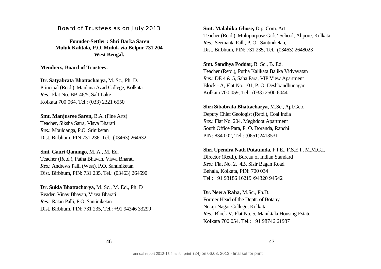Board of Trustees as on July 2013

**Founder-Settler : Shri Barka Saren Muluk Kalitala, P.O. Muluk via Bolpur 731 204 West Bengal.**

**Members, Board of Trustees:**

**Dr. Satyabrata Bhattacharya,** M. Sc., Ph. D. Principal (Retd.), Maulana Azad College, Kolkata *Res.*: Flat No. BB-46/5, Salt Lake Kolkata 700 064, Tel.: (033) 2321 6550

**Smt. Manjusree Saren,** B.A. (Fine Arts) Teacher, Siksha Satra, Visva Bharati *Res.*: Mouldanga, P.O. Sriniketan Dist. Birbhum, PIN 731 236, Tel.: (03463) 264632

**Smt. Gauri Qanungo,** M. A., M. Ed. Teacher (Retd.), Patha Bhavan, Visva Bharati *Res.*: Andrews Palli (West), P.O. Santiniketan Dist. Birbhum, PIN: 731 235, Tel.: (03463) 264590

**Dr. Sukla Bhattacharya,** M. Sc., M. Ed., Ph. D Reader, Vinay Bhavan, Visva Bharati *Res.*: Ratan Palli, P.O. Santiniketan Dist. Birbhum, PIN: 731 235, Tel.: +91 94346 33299 **Smt. Malabika Ghose,** Dip. Com. Art Teacher (Retd.), Multipurpose Girls' School, Alipore, Kolkata *Res.*: Seemanta Palli, P. O. Santiniketan, Dist. Birbhum, PIN: 731 235, Tel.: (03463) 2648023

**Smt. Sandhya Poddar,** B. Sc., B. Ed. Teacher (Retd.), Purba Kalikata Balika Vidyayatan *Res.*: DE 4 & 5, Saha Para, VIP View Apartment Block - A, Flat No. 101, P. O. Deshbandhunagar Kolkata 700 059, Tel.: (033) 2500 6044

**Shri Sibabrata Bhattacharya,** M.Sc., Apl.Geo. Deputy Chief Geologist (Retd.), Coal India *Res.*: Flat No. 204, Meghdoot Apartment South Office Para, P. O. Doranda, Ranchi PIN: 834 002, Tel.: (0651)2413531

**Shri Upendra Nath Putatunda,** F.I.E., F.S.E.I., M.M.G.I. Director (Retd.), Bureau of Indian Standard *Res.*: Flat No. 2, 4B, Sisir Bagan Road Behala, Kolkata, PIN: 700 034 Tel : +91 98186 16219 **/**94320 94542

**Dr. Neera Raha,** M.Sc., Ph.D. Former Head of the Deptt. of Botany Netaji Nagar College, Kolkata *Res.*: Block V, Flat No. 5, Maniktala Housing Estate Kolkata 700 054, Tel.: +91 98746 61987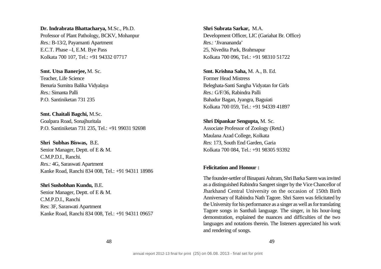# **Dr. Indrabrata Bhattacharya,** M.Sc., Ph.D. Professor of Plant Pathology, BCKV, Mohanpur *Res*.: B-13/2, Payamanti Apartment E.C.T. Phase –I, E.M. Bye Pass Kolkata 700 107, Tel.: +91 94332 07717

**Smt. Utsa Banerjee,** M. Sc. Teacher, Life Science Benuria Sumitra Balika Vidyalaya *Res*.: Simanta Palli P.O. Santiniketan 731 235

**Smt. Chaitali Bagchi,** M.Sc. Goalpara Road, Sonajhuritala P.O. Santiniketan 731 235, Tel.: +91 99031 92698

**Shri Subhas Biswas,** B.E. Senior Manager, Deptt. of E & M. C.M.P.D.I., Ranchi. *Res.:* 4G, Saraswati Apartment Kanke Road, Ranchi 834 008, Tel.: +91 94311 18986

**Shri Sushobhan Kundu,** B.E. Senior Manager, Deptt. of E & M. C.M.P.D.I., Ranchi Res: 3F, Saraswati Apartment Kanke Road, Ranchi 834 008, Tel.: +91 94311 09657 **Shri Subrata Sarkar,** M.A. Development Officer, LIC (Gariahat Br. Office) *Res*.: 'Jivanananda' 25, Nivedita Park, Brahmapur Kolkata 700 096, Tel.: +91 98310 51722

**Smt. Krishna Saha,** M. A., B. Ed. Former Head Mistress Beleghata-Santi Sangha Vidyatan for Girls *Res*.: G/F/36, Rabindra Palli Bahadur Bagan, Jyangra, Baguiati Kolkata 700 059, Tel.: +91 94339 41897

**Shri Dipankar Sengupta,** M. Sc. Associate Professor of Zoology (Retd.) Maulana Azad College, Kolkata *Res*: 173, South End Garden, Garia Kolkata 700 084, Tel.: +91 98305 93392

#### **Felicitation and Honour :**

The founder-settler of Binapani Ashram, Shri Barka Saren was invited as a distinguished Rabindra Sangeet singer by the Vice Chancellor of Jharkhand Central University on the occasion of 150th Birth Anniversary of Rabindra Nath Tagore. Shri Saren was felicitated by the University for his performance as a singer as well as for translating Tagore songs in Santhali language. The singer, in his hour-long demonstration, explained the nuances and difficulties of the two languages and notations therein. The listeners appreciated his work and rendering of songs.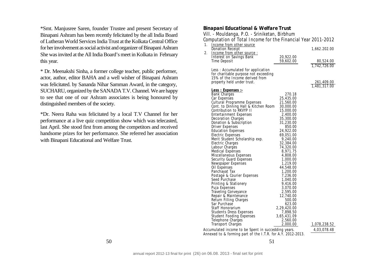\*Smt. Manjusree Saren, founder Trustee and present Secretary of Binapani Ashram has been recently felicitated by the all India Board of Lutheran World Services India Trust at the Kolkata Central Office for her involvement as social activist and organizer of Binapani Ashram She was invited at the All India Board's meet in Kolkata in February this year.

\* Dr. Meenakshi Sinha, a former college teacher, public performer, actor, author, editor BAHA and a well wisher of Binapani Ashram was felicitated. by Sananda Nihar Samman Award, in the category, SUCHARU, organized by the SANADA T.V. Channel. We are happy to see that one of our Ashram associates is being honoured by distinguished members of the society.

\*Dr. Neera Raha was felicitated by a local T.V Channel for her performance at a live quiz competition show which was telecasted, last April. She stood first from among the competitors and received handsome prizes for her performance. She referred her association with Binapani Educational and Welfare Trust.

#### **Binapani Educational & Welfare Trust**

|    | Vill. - Mouldanga, P.O. - Sriniketan, Birbhum                    |                        |                            |
|----|------------------------------------------------------------------|------------------------|----------------------------|
|    | Computation of Total Income for the Financial Year 2011-2012     |                        |                            |
| 1. | Income from other source                                         |                        |                            |
| 2. | Donation Receipt<br><u>Income from other source:</u>             |                        | 1,662.202.00               |
|    | Interest on Savings Bank                                         | 20,922.00              |                            |
|    | Time Deposit                                                     | 59,602.00              | 80,524.00                  |
|    |                                                                  |                        | 1,742,726.00               |
|    | Less: Accumulated for application                                |                        |                            |
|    | for charitable purpose not exceeding                             |                        |                            |
|    | 15% of the Income derived from                                   |                        |                            |
|    | property held under trust.                                       |                        | 261,409.00<br>1,481,317.00 |
|    | Less : Expenses :-                                               |                        |                            |
|    | <b>Bank Charges</b>                                              | 270.18                 |                            |
|    | Car Expenses                                                     | 25,435.00              |                            |
|    | Cultural Programme Expenses                                      | 21,560.00              |                            |
|    | Cont. to Dinning Hall & Kitchen Room<br>Contribution to RKVYP II | 30,000.00<br>15,000.00 |                            |
|    | <b>Entertainment Expenses</b>                                    | 2,400.00               |                            |
|    | Decoration Charges                                               | 35,300.00              |                            |
|    | Donation & Subscription                                          | 31,230.00              |                            |
|    | Driver Expenses                                                  | 850.00                 |                            |
|    | <b>Education Expenses</b>                                        | 24,922.00              |                            |
|    | <b>Electric Expenses</b><br>Merit Student Scholarship exp.       | 69,051.00<br>9,240.00  |                            |
|    | Electric Charges                                                 | 32,384.00              |                            |
|    | Labour Charges                                                   | 74,320.00              |                            |
|    | <b>Medical Expenses</b>                                          | 8,971.75               |                            |
|    | Miscellaneous Expenses                                           | 4,808.00               |                            |
|    | Security Guard Expenses                                          | 1,000.00<br>1,219.00   |                            |
|    | Newspaper Expenses<br>Oil Expenses                               | 44,548.00              |                            |
|    | Panchayat Tax                                                    | 1,200.00               |                            |
|    | Postage & Courier Expenses                                       | 7,236.00               |                            |
|    | Seed Purchase                                                    | 1,040.00               |                            |
|    | Printing & Stationery                                            | 9,416.00               |                            |
|    | Puja Expenses                                                    | 3,070.00<br>2,595.00   |                            |
|    | Traveling Conveyance<br>Repair & Maintenance                     | 12,740.00              |                            |
|    | Return Filling Charges                                           | 500.00                 |                            |
|    | Sar Purchase                                                     | 623.00                 |                            |
|    | Staff Honorarium                                                 | 2,29,420.00            |                            |
|    | <b>Students Dress Expenses</b>                                   | 7,898.50               |                            |
|    | <b>Student Fooding Expenses</b>                                  | 3,65,431.09            |                            |
|    | Telephone Charges<br>Transport Charges                           | 2,560.00<br>2,000.00   | 1,078,238.52               |
|    | Accumulated income to be Spent in succedding years.              |                        | 4,03,078.48                |

Annexed to & forming part of the I.T.R. for A.Y. 2012-2013.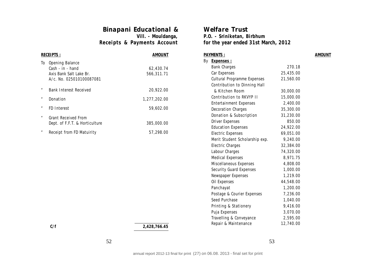# **Binapani Educational &**

**Vill. - Mouldanga, Receipts & Payments Account**

|                                                        | <b>RECEIPTS:</b>                                                                           | AMOUNT                  |
|--------------------------------------------------------|--------------------------------------------------------------------------------------------|-------------------------|
| To                                                     | Opening Balance<br>Cash - in - hand<br>Axis Bank Salt Lake Br.<br>A/c. No. 025010100087081 | 62,430.74<br>566,311.71 |
| $\boldsymbol{\mathit{u}}$                              | <b>Bank Interest Received</b>                                                              | 20,922.00               |
| $\boldsymbol{\mathit{u}}$                              | Donation                                                                                   | 1,277,202.00            |
| $\boldsymbol{\mathit{u}}$                              | FD Interest                                                                                | 59,602.00               |
| $\boldsymbol{\mathit{u}}$<br>$\boldsymbol{\mathit{u}}$ | Grant Received From<br>Dept. of F.F.T. & Horticulture<br>Receipt from FD Matuirity         | 385,000.00<br>57,298.00 |
|                                                        |                                                                                            |                         |

# **Welfare Trust**

**P.O. - Sriniketan, Birbhum for the year ended 31st March, 2012**

**AMOUNT** 

|    | <u>PAYMENTS :</u>                  |           |
|----|------------------------------------|-----------|
| By | Expenses:                          |           |
|    | <b>Bank Charges</b>                | 270.18    |
|    | Car Expenses                       | 25,435.00 |
|    | <b>Cultural Programme Expenses</b> | 21,560.00 |
|    | Contribution to Dinning Hall       |           |
|    | & Kitchen Room                     | 30,000.00 |
|    | Contribution to RKVYP II           | 15,000.00 |
|    | <b>Entertainment Expenses</b>      | 2,400.00  |
|    | <b>Decoration Charges</b>          | 35,300.00 |
|    | Donation & Subscription            | 31,230.00 |
|    | <b>Driver Expenses</b>             | 850.00    |
|    | <b>Education Expenses</b>          | 24,922.00 |
|    | <b>Electric Expenses</b>           | 69,051.00 |
|    | Merit Student Scholarship exp.     | 9,240.00  |
|    | <b>Electric Charges</b>            | 32,384.00 |
|    | Labour Charges                     | 74,320.00 |
|    | <b>Medical Expenses</b>            | 8,971.75  |
|    | Miscellaneous Expenses             | 4,808.00  |
|    | <b>Security Guard Expenses</b>     | 1,000.00  |
|    | Newspaper Expenses                 | 1,219.00  |
|    | Oil Expenses                       | 44,548.00 |
|    | Panchayat                          | 1,200.00  |
|    | Postage & Courier Expenses         | 7,236.00  |
|    | Seed Purchase                      | 1,040.00  |
|    | Printing & Stationery              | 9,416.00  |
|    | Puja Expenses                      | 3,070.00  |
|    | Travelling & Conveyance            | 2,595.00  |
|    | Repair & Maintenance               | 12,740.00 |

 **C/f 2,428,766.45**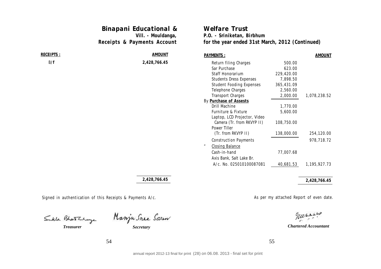|                   | <b>Binapani Educational &amp;</b><br>Vill. - Mouldanga,<br>Receipts & Payments Account | <b>Welfare Trust</b><br>P.O. - Sriniketan, Birbhum<br>for the year ended 31st March, 2012 (Continued) |            |               |
|-------------------|----------------------------------------------------------------------------------------|-------------------------------------------------------------------------------------------------------|------------|---------------|
| <b>RECEIPTS :</b> | <b>AMOUNT</b>                                                                          | <b>PAYMENTS:</b>                                                                                      |            | <b>AMOUNT</b> |
| B/f               | 2,428,766.45                                                                           | Return filing Charges                                                                                 | 500.00     |               |
|                   |                                                                                        | Sar Purchase                                                                                          | 623.00     |               |
|                   |                                                                                        | Staff Honorarium                                                                                      | 229,420.00 |               |
|                   |                                                                                        | <b>Students Dress Expenses</b>                                                                        | 7,898.50   |               |
|                   |                                                                                        | <b>Student Fooding Expenses</b>                                                                       | 365,431.09 |               |
|                   |                                                                                        | Telephone Charges                                                                                     | 2,560.00   |               |
|                   |                                                                                        | <b>Transport Charges</b>                                                                              | 2,000.00   | 1,078,238.52  |
|                   |                                                                                        | By <b>Purchase of Assests</b>                                                                         |            |               |
|                   |                                                                                        | Drill Machine                                                                                         | 1,770.00   |               |
|                   |                                                                                        | Furniture & Fixture                                                                                   | 5,600.00   |               |
|                   |                                                                                        | Laptop, LCD Projector, Video                                                                          |            |               |
|                   |                                                                                        | Camera (Tr. from RKVYP II)                                                                            | 108,750.00 |               |
|                   |                                                                                        | Power Tiller                                                                                          |            |               |
|                   |                                                                                        | (Tr. from RKVYP II)                                                                                   | 138,000.00 | 254,120.00    |
|                   |                                                                                        | <b>Construction Payments</b>                                                                          |            | 978,718.72    |
|                   |                                                                                        | <b>Closing Balance</b>                                                                                |            |               |
|                   |                                                                                        | Cash-in-hand                                                                                          | 77,007.68  |               |
|                   |                                                                                        | Axis Bank, Salt Lake Br.                                                                              |            |               |
|                   |                                                                                        | A/c. No. 025010100087081                                                                              | 40,681.53  | 1,195,927.73  |
|                   | 2,428,766.45                                                                           |                                                                                                       |            | 2,428,766.45  |

Signed in authentication of this Receipts & Payments A/c. <br>
As per my attached Report of even date.

*Treasurer Secretary*

*Chartered Accountant*

guerrano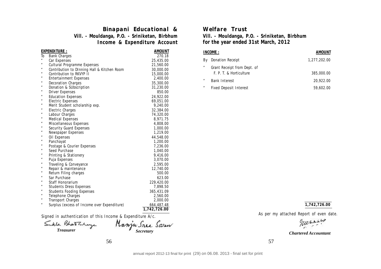# **Binapani Educational &**

**Vill. - Mouldanga, P.O. - Sriniketan, Birbhum Income & Expenditure Account**

|                           | EXPENDITURE :                               | <b>AMOUNT</b> |
|---------------------------|---------------------------------------------|---------------|
| To                        | <b>Bank Charges</b>                         | 270.18        |
| $\boldsymbol{u}$          | Car Expenses                                | 25,435.00     |
| $\boldsymbol{u}$          | <b>Cultural Programme Expenses</b>          | 21,560.00     |
| $\mathbf{u}$              | Contribution to DInning Hall & Kitchen Room | 30,000.00     |
| $\mathbf{u}$              | Contribution to RKVYP II                    | 15,000.00     |
| $\mathbf{u}$              | <b>Entertainment Expenses</b>               | 2,400.00      |
| $\boldsymbol{\mu}$        | <b>Decoration Charges</b>                   | 35,300.00     |
| $\boldsymbol{\mathit{u}}$ | Donation & SUbscription                     | 31,230.00     |
| $\boldsymbol{\mathit{u}}$ | Driver Expenses                             | 850.00        |
| $\pmb{\mathit{u}}$        | <b>Education Expenses</b>                   | 24,922.00     |
| $\boldsymbol{\mathit{u}}$ | <b>Electric Expenses</b>                    | 69,051.00     |
| $\boldsymbol{\mathit{u}}$ | Merit Student scholarship exp.              | 9,240.00      |
| $\boldsymbol{\mu}$        | Electric Charges                            | 32,384.00     |
| $\boldsymbol{\mathit{u}}$ | Labour Charges                              | 74,320.00     |
| $\boldsymbol{\mathit{u}}$ | <b>Medical Expenses</b>                     | 8,971.75      |
| $\boldsymbol{u}$          | Miscellaneous Expenses                      | 4,808.00      |
| $\boldsymbol{\mathit{u}}$ | Security Guard Expenses                     | 1,000.00      |
| $\boldsymbol{u}$          | Newspaper Expenses                          | 1,219.00      |
| $\boldsymbol{\mu}$        | Oil Expenses                                | 44,548.00     |
| $\boldsymbol{\mu}$        | Panchayat                                   | 1,200.00      |
| $\mathbf{u}$              | Postage & Courier Expenses                  | 7,236.00      |
| $\boldsymbol{\mathit{u}}$ | Seed Purchase                               | 1,040.00      |
| $\boldsymbol{\mu}$        | Printing & Stationery                       | 9,416.00      |
| $\boldsymbol{u}$          | Puja Expenses                               | 3,070.00      |
| $\boldsymbol{\mu}$        | Traveling & Conveyance                      | 2,595.00      |
| $\boldsymbol{\mu}$        | Repair & maintenance                        | 12,740.00     |
| $\boldsymbol{u}$          | Return Filing charges                       | 500.00        |
| $\mathbf{u}$              | Sar Purchase                                | 623.00        |
| $\boldsymbol{u}$          | Staff Honorarium                            | 229,420.00    |
| $\boldsymbol{\mathit{u}}$ | <b>Students Dress Expenses</b>              | 7,898.50      |
| $\boldsymbol{u}$          | <b>Students Fooding Expenses</b>            | 365,431.09    |
| $\boldsymbol{\mu}$        | Telephone Charges                           | 2,560.00      |
| $\boldsymbol{\mu}$        | <b>Transport Charges</b>                    | 2,000.00      |
| $\mathbf{u}$              | Surplus (excess of Income over Expenditure) | 664,487.48    |
|                           |                                             | 1,742,726.00  |

Signed in authentication of this Income & Expenditure A/c.<br>  $\alpha$ 

Sukla Bhatchinge *Treasurer Secretary*

## **Welfare Trust**

**Vill. - Mouldanga, P.O. - Sriniketan, Birbhum for the year ended 31st March, 2012**

# **INCOME : AMOUNT** By Donation Receipt 1,277,202.00 " Grant Receipt from Dept. of F. P. T. & Horticulture 385,000.00 " Bank Interest 20,922.00 " Fixed Deposit Interest 59,602.00

#### **1,742,726.00**

*Chartered Accountant*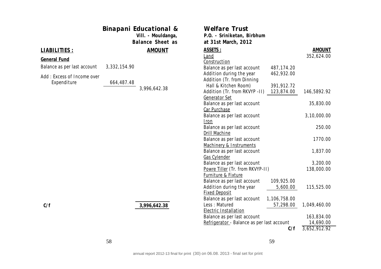| <b>Binapani Educational &amp;</b><br>Vill. - Mouldanga,<br><b>Balance Sheet as</b> |              |               | <b>Welfare Trust</b><br>P.O. - Sriniketan, Birbhum<br>at 31st March, 2012 |                          |               |
|------------------------------------------------------------------------------------|--------------|---------------|---------------------------------------------------------------------------|--------------------------|---------------|
| <u>LIABILITIES :</u>                                                               |              | <b>AMOUNT</b> | ASSETS:                                                                   |                          | <b>AMOUNT</b> |
| General Fund                                                                       |              |               | Land                                                                      |                          | 352,624.00    |
|                                                                                    |              |               | Construction                                                              |                          |               |
| Balance as per last account                                                        | 3,332,154.90 |               | Balance as per last account                                               | 487,174.20               |               |
| Add: Excess of Income over                                                         |              |               | Addition during the year                                                  | 462,932.00               |               |
| Expenditure                                                                        | 664,487.48   |               | Addition (Tr. from Dinning                                                |                          |               |
|                                                                                    |              | 3,996,642.38  | Hall & Kitchen Room)<br>Addition (Tr. from RKVYP - II)                    | 391,912.72<br>123,874.00 | 146,5892.92   |
|                                                                                    |              |               | Generator Set                                                             |                          |               |
|                                                                                    |              |               | Balance as per last account                                               |                          | 35,830.00     |
|                                                                                    |              |               | Car Purchase                                                              |                          |               |
|                                                                                    |              |               | Balance as per last account                                               |                          | 3,10,000.00   |
|                                                                                    |              |               | <u>Iron</u>                                                               |                          |               |
|                                                                                    |              |               | Balance as per last account                                               |                          | 250.00        |
|                                                                                    |              |               | <b>Drill Machine</b>                                                      |                          |               |
|                                                                                    |              |               | Balance as per last account                                               |                          | 1770.00       |
|                                                                                    |              |               | Machinery & Instruments                                                   |                          |               |
|                                                                                    |              |               | Balance as per last account                                               |                          | 1,837.00      |
|                                                                                    |              |               | <b>Gas Cylender</b>                                                       |                          |               |
|                                                                                    |              |               | Balance as per last account                                               |                          | 3,200.00      |
|                                                                                    |              |               | Powre Tiller (Tr. from RKVYP-II)                                          |                          | 138,000.00    |
|                                                                                    |              |               | Furniture & Fixture                                                       |                          |               |
|                                                                                    |              |               | Balance as per last account                                               | 109,925.00               |               |
|                                                                                    |              |               | Addition during the year                                                  | 5,600.00                 | 115,525.00    |
|                                                                                    |              |               | <b>Fixed Deposit</b>                                                      |                          |               |
|                                                                                    |              |               | Balance as per last account                                               | 1,106,758.00             |               |
| C/f                                                                                |              | 3,996,642.38  | Less: Matured                                                             | 57,298.00                | 1,049,460.00  |
|                                                                                    |              |               | <b>Electric Installation</b>                                              |                          |               |
|                                                                                    |              |               | Balance as per last account                                               |                          | 163,834.00    |
|                                                                                    |              |               | Refrigerator - Balance as per last account                                |                          | 14,690.00     |
|                                                                                    |              |               |                                                                           | C/f                      | 3,652,912.92  |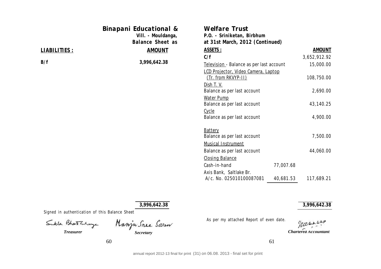|                     | <b>Binapani Educational &amp;</b><br>Vill. - Mouldanga,<br><b>Balance Sheet as</b> | <b>Welfare Trust</b><br>P.O. - Sriniketan, Birbhum<br>at 31st March, 2012 (Continued) |               |
|---------------------|------------------------------------------------------------------------------------|---------------------------------------------------------------------------------------|---------------|
| <b>LIABILITIES:</b> | <b>AMOUNT</b>                                                                      | <u>ASSETS:</u>                                                                        | <b>AMOUNT</b> |
|                     |                                                                                    | C/f                                                                                   | 3,652,912.92  |
| B/f                 | 3,996,642.38                                                                       | Television - Balance as per last account                                              | 15,000.00     |
|                     |                                                                                    | LCD Projector, Video Camera, Laptop<br>(Tr. from RKVYP-II)                            | 108,750.00    |
|                     |                                                                                    | <u>Dish T. V.</u><br>Balance as per last account                                      | 2,690.00      |
|                     |                                                                                    | Water Pump<br>Balance as per last account                                             | 43,140.25     |
|                     |                                                                                    | Cycle<br>Balance as per last account                                                  | 4,900.00      |
|                     |                                                                                    | Battery<br>Balance as per last account                                                | 7,500.00      |
|                     |                                                                                    | <b>Musical Instrument</b>                                                             |               |
|                     |                                                                                    | Balance as per last account                                                           | 44,060.00     |
|                     |                                                                                    | <b>Closing Balance</b>                                                                |               |
|                     |                                                                                    | Cash-in-hand<br>77,007.68                                                             |               |
|                     |                                                                                    | Axis Bank, Saltlake Br.                                                               |               |

A/c. No. 025010100087081 40,681.53 117,689.21

**3,996,642.38**

Signed in authentication of this Balance Sheet

*Treasurer Secretary*

As per my attached Report of even date.

gues *Chartered Accountant*

**3,996,642.38**

60 61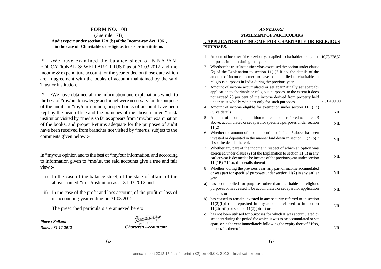#### **FORM NO. 10B**

#### (*See* rule 17B) **Audit report under section 12A (b) of the Income-tax Act, 1961, in the case of Charitable or religious trusts or institutions**

\* I/We have examined the balance sheet of BINAPANI EDUCATIONAL & WELFARE TRUST as at 31.03.2012 and the income & expenditure account for the year ended on those date which are in agreement with the books of account maintained by the said Trust or institution.

\* I/We have obtained all the information and explanations which to the best of \*my/our knowledge and belief were necessary for the purpose of the audit. In \*my/our opinion, proper books of account have been kept by the head office and the branches of the above-named \*trust/ institution visited by \*me/us so far as appears from \*my/our examination of the books, and proper Returns adequate for the purposes of audit have been received from branches not visited by \*me/us, subject to the comments given below :-

In \*my/our opinion and to the best of \*my/our information, and according to information given to \*me/us, the said accounts give a true and fair view :-

- i) In the case of the balance sheet, of the state of affairs of the above-named \*trust/institution as at 31.03.2012 and
- ii) In the case of the profit and loss account, of the profit or loss of its accounting year ending on 31.03.2012.

The prescribed particulars are annexed hereto.

*Place : Kolkata*

guenario *Dated : 31.12.2012 Chartered Accountant*

#### *ANNEXURE* **STATEMENT OF PARTICULARS I. APPLICATION OF INCOME FOR CHARITABLE OR RELIGIOUS PURPOSES.**

- 1. Amount of income of the previous year aplied to charitable or religious 10,78,238.52 purposes in India during that year
- 2. Whether the trust/institution \*has exercised the option under clause (2) of the Explanation to section  $11(1)$ ? If so, the details of the amount of income deemed to have been applied to charitable or religious purposes in India during the previous year.
- 3. Amount of income accumulated or set apart\*/finally set apart for application to charitable or religious purposes, to the extent it does not exceed 25 per cent of the income derived from property held under trust wholly \*/in part only for such purposes. 2,61,409.00
- 4. Amount of income eligible for exemption under section 11(1) (c) (Give details)
- 5. Amount of income, in addition to the amount referred to in item 3 above, accumulated or set apart for specified purposes under section 11(2) NIL

NIL

NIL

- 6. Whether the amount of income mentioned in item 5 above has been invested or deposited in the manner laid down in section  $11(2)(b)$ ? If so, the details thereof. NIL
- 7. Whether any part of the income in respect of which an option was exercised under clause (2) of the Explanation to section 11(1) in any earlier year is deemed to be income of the previous year under section 11 (1B) ? If so, the details thereof. NIL
- 8. Whether, during the previous year, any part of income accumulated or set apart for specified purposes under section 11(2) in any earlier year. NIL
- a) has been applied for purposes other than charitable or religious purposes or has ceased to be accumulated or set apart for application thereto, or NIL
- b) has ceased to remain invested in any security referred to in section  $11(2)(b)(i)$  or deposited in any account referred to in section  $11(2)(b)(ii)$  or section  $11(2)(b)(iii)$  or NIL
- c) has not been utilised for purposes for which it was accumulated or set apart during the period for which it was to be accumulated or set apart, or in the year immediately following the expiry thereof ? If so, the details thereof.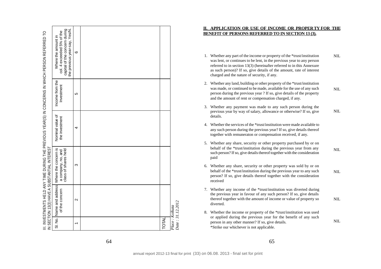#### **II. APPLICATION OR USE OF INCOME OR PROPERTY FOR THE BENEFIT OF PERSONS REFERRED TO IN SECTION 13 (3).**

- 1. Whether any part of the income or property of the \*trust/institution was lent, or continues to be lent, in the previous year to any person referred to in section 13(3) (hereinafter referred to in this Annexure as such person)? If so, give details of the amount, rate of interest charged and the nature of security, if any. NIL
- 2. Whether any land, building or other property of the \*trust/institution was made, or continued to be made, available for the use of any such person during the previous year ? If so, give details of the property and the amount of rent or compensation charged, if any. NIL
- 3. Whether any payment was made to any such person during the previous year by way of salary, allowance or otherwise? If so, give details. NIL
- 4. Whether the services of the \*trust/institution were made available to any such person during the previous year? If so, give details thereof together with remuneraton or compensation received, if any.
- 5. Whether any share, security or other property purchased by or on behalf of the \*trust/institution during the previous year from any such person? If so, give details thereof together with the consideration paid NIL
- 6. Whether any share, security or other property was sold by or on behalf of the \*trust/institution during the previous year to any such person? If so, give details thereof together with the consideration received NIL
- 7. Whether any income of the \*trust/institution was diverted during the previous year in favour of any such person? If so, give details thereof together with the amount of income or value of property so diverted. NIL
- 8. Whether the income or property of the \*trust/institution was used or applied during the previous year for the benefit of any such person in any other manner? If so, give details. \*Strike our whichever is not applicable.

NIL

*Date : 31.12.2012*

Date: 31.12.2012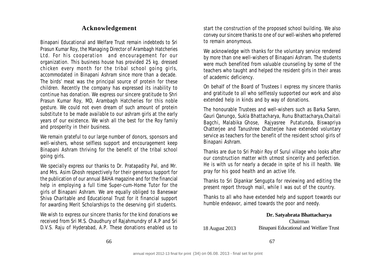# **Acknowledgement**

Binapani Educational and Welfare Trust remain indebteds to Sri Prasun Kumar Roy, the Managing Director of Arambagh Hatcheries Ltd. For his cooperation and encouragement for our organization. This business house has provided 25 kg. dressed chicken every month for the tribal school going girls, accommodated in Binapani Ashram since more than a decade. The birds' meat was the principal source of protein for these children. Recently the company has expressed its inability to continue has donation. We express our sincere gratitude to Shri Prasun Kumar Roy, MD, Arambagh Hatcheries for this noble gesture. We could not even dream of such amount of protein substitute to be made available to our ashram girls at the early years of our existence. We wish all the best for the Roy family and prosperity in their business.

We remain grateful to our large number of donors, sponsors and well-wishers, whose selfless support and encouragement keep Binapani Ashram thriving for the benefit of the tribal school going girls.

We specially express our thanks to Dr. Pratapadity Pal, and Mr. and Mrs. Asim Ghosh respectively for their generous support for the publication of our annual BAHA magazine and for the financial help in employing a full time Super-cum-Home Tutor for the girls of Binapani Ashram. We are equally obliged to Baneswar Shiva Charitable and Educational Trust for it financial support for awarding Merit Scholarships to the deserving girl students.

We wish to express our sincere thanks for the kind donations we received from Sri M.S. Chaudhury of Rajahmundry of A.P and Sri D.V.S. Raju of Hyderabad, A.P. These donations enabled us to

start the construction of the proposed school building. We also convey our sincere thanks to one of our well-wishers who preferred to remain anonymous.

We acknowledge with thanks for the voluntary service rendered by more than one well-wishers of Binapani Ashram. The students were much benefited from valuable counseling by some of the teachers who taught and helped the resident girls in their areas of academic deficiency.

On behalf of the Board of Trustees I express my sincere thanks and gratitude to all who selflessly supported our work and also extended help in kinds and by way of donations.

The honourable Trustees and well-wishers such as Barka Saren, Gauri Qanungo, Sukla Bhattacharya, Runu Bhattacharya,Chaitali Bagchi, Malabika Ghose, Rajyasree Putatunda, Biswapriya Chatterjee and Tanushree Chatterjee have extended voluntary service as teachers for the benefit of the resident school girls of Binapani Ashram.

Thanks are due to Sri Prabir Roy of Surul village who looks after our construction matter with utmost sincerity and perfection. He is with us for nearly a decade in spite of his ill health. We pray for his good health and an active life.

Thanks to Sri Dipankar Sengupta for reviewing and editing the present report through mail, while I was out of the country.

Thanks to all who have extended help and support towards our humble endeavor, aimed towards the poor and needy.

## **Dr. Satyabrata Bhattacharya** Chairman 18 August 2013 Binapani Educational and Welfare Trust